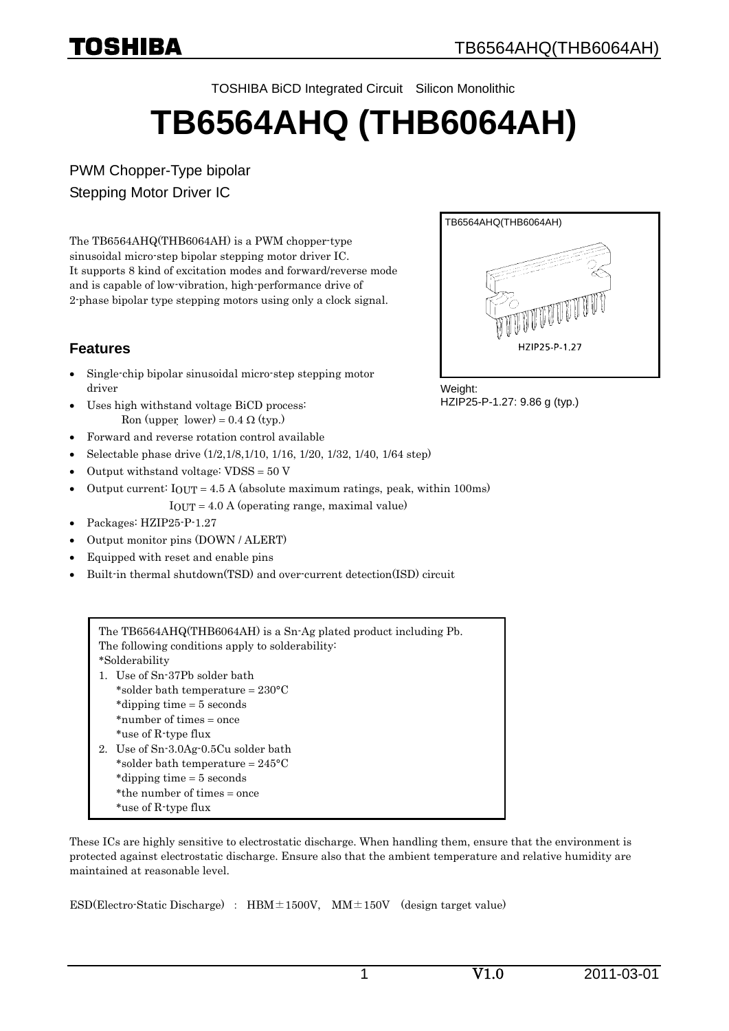

TOSHIBA BiCD Integrated Circuit Silicon Monolithic

# **TB6564AHQ (THB6064AH)**

PWM Chopper-Type bipolar Stepping Motor Driver IC

The TB6564AHQ(THB6064AH) is a PWM chopper-type sinusoidal micro-step bipolar stepping motor driver IC. It supports 8 kind of excitation modes and forward/reverse mode and is capable of low-vibration, high-performance drive of 2-phase bipolar type stepping motors using only a clock signal.

## **Features**

- Single-chip bipolar sinusoidal micro-step stepping motor driver
- Uses high withstand voltage BiCD process: Ron (upper  $lower$ ) = 0.4  $\Omega$  (typ.)
- Forward and reverse rotation control available
- Selectable phase drive (1/2,1/8,1/10, 1/16, 1/20, 1/32, 1/40, 1/64 step)
- Output withstand voltage: VDSS = 50 V
- Output current:  $I_{OUT} = 4.5$  A (absolute maximum ratings, peak, within 100ms) IOUT = 4.0 A (operating range, maximal value)
- Packages: HZIP25-P-1.27
- Output monitor pins (DOWN / ALERT)
- Equipped with reset and enable pins
- Built-in thermal shutdown(TSD) and over-current detection(ISD) circuit

The TB6564AHQ(THB6064AH) is a Sn-Ag plated product including Pb. The following conditions apply to solderability: \*Solderability 1. Use of Sn-37Pb solder bath \*solder bath temperature = 230°C \*dipping time = 5 seconds \*number of times = once \*use of R-type flux 2. Use of Sn-3.0Ag-0.5Cu solder bath \*solder bath temperature = 245°C \*dipping time = 5 seconds \*the number of times = once \*use of R-type flux

These ICs are highly sensitive to electrostatic discharge. When handling them, ensure that the environment is protected against electrostatic discharge. Ensure also that the ambient temperature and relative humidity are maintained at reasonable level.

ESD(Electro-Static Discharge) :  $HBM \pm 1500V$ ,  $MM \pm 150V$  (design target value)



Weight: HZIP25-P-1.27: 9.86 g (typ.)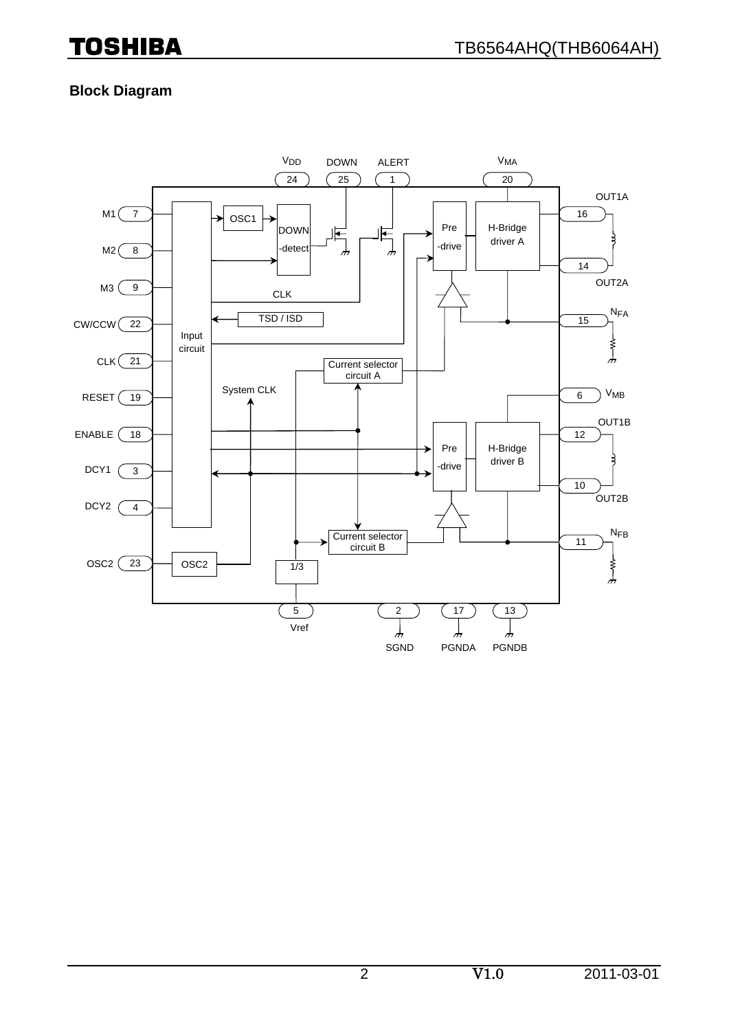### **Block Diagram**

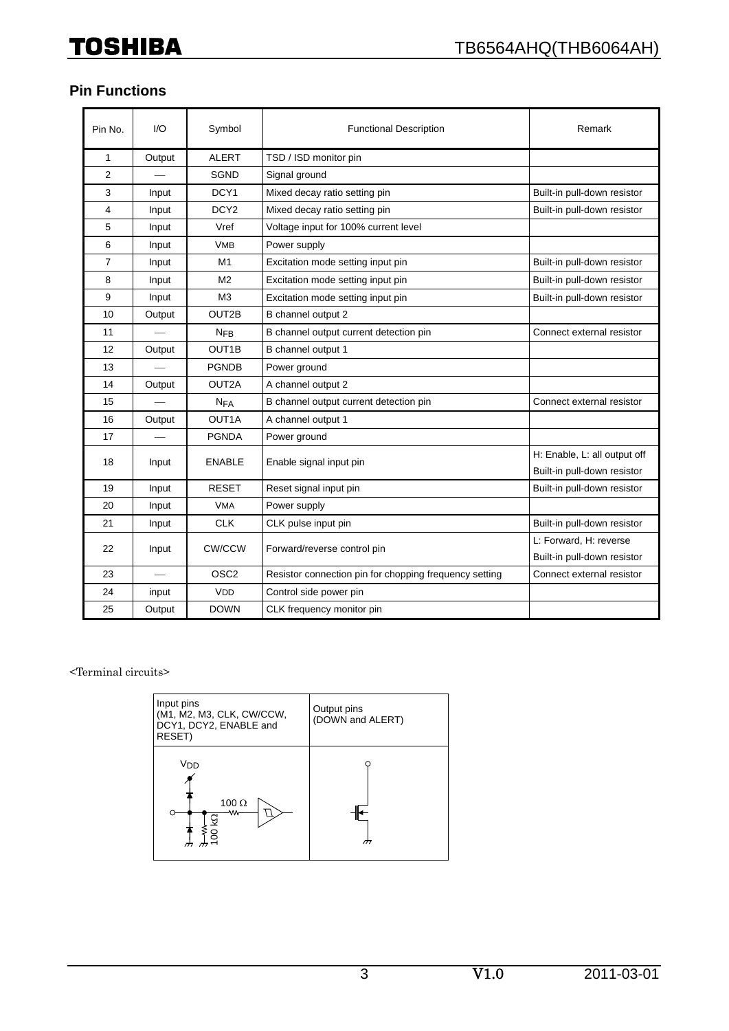# **Pin Functions**

| Pin No.        | 1/O    | Symbol                | <b>Functional Description</b>                          | Remark                       |
|----------------|--------|-----------------------|--------------------------------------------------------|------------------------------|
| 1              | Output | <b>ALERT</b>          | TSD / ISD monitor pin                                  |                              |
| 2              |        | <b>SGND</b>           | Signal ground                                          |                              |
| 3              | Input  | DCY1                  | Mixed decay ratio setting pin                          | Built-in pull-down resistor  |
| 4              | Input  | DCY <sub>2</sub>      | Mixed decay ratio setting pin                          | Built-in pull-down resistor  |
| 5              | Input  | Vref                  | Voltage input for 100% current level                   |                              |
| 6              | Input  | <b>VMB</b>            | Power supply                                           |                              |
| $\overline{7}$ | Input  | M1                    | Excitation mode setting input pin                      | Built-in pull-down resistor  |
| 8              | Input  | M <sub>2</sub>        | Excitation mode setting input pin                      | Built-in pull-down resistor  |
| 9              | Input  | M <sub>3</sub>        | Excitation mode setting input pin                      | Built-in pull-down resistor  |
| 10             | Output | OUT2B                 | B channel output 2                                     |                              |
| 11             |        | N <sub>FB</sub>       | B channel output current detection pin                 | Connect external resistor    |
| 12             | Output | OUT <sub>1</sub> B    | B channel output 1                                     |                              |
| 13             |        | <b>PGNDB</b>          | Power ground                                           |                              |
| 14             | Output | OUT2A                 | A channel output 2                                     |                              |
| 15             |        | <b>N<sub>FA</sub></b> | B channel output current detection pin                 | Connect external resistor    |
| 16             | Output | OUT <sub>1</sub> A    | A channel output 1                                     |                              |
| 17             |        | <b>PGNDA</b>          | Power ground                                           |                              |
| 18             | Input  | <b>ENABLE</b>         | Enable signal input pin                                | H: Enable, L: all output off |
|                |        |                       |                                                        | Built-in pull-down resistor  |
| 19             | Input  | <b>RESET</b>          | Reset signal input pin                                 | Built-in pull-down resistor  |
| 20             | Input  | <b>VMA</b>            | Power supply                                           |                              |
| 21             | Input  | <b>CLK</b>            | CLK pulse input pin                                    | Built-in pull-down resistor  |
| 22             | Input  | CW/CCW                | Forward/reverse control pin                            | L: Forward. H: reverse       |
|                |        |                       |                                                        | Built-in pull-down resistor  |
| 23             |        | OSC <sub>2</sub>      | Resistor connection pin for chopping frequency setting | Connect external resistor    |
| 24             | input  | <b>VDD</b>            | Control side power pin                                 |                              |
| 25             | Output | <b>DOWN</b>           | CLK frequency monitor pin                              |                              |

<Terminal circuits>

| Input pins<br>(M1, M2, M3, CLK, CW/CCW,<br>DCY1, DCY2, ENABLE and<br>RESET) | Output pins<br>(DOWN and ALERT) |
|-----------------------------------------------------------------------------|---------------------------------|
| V <sub>DD</sub><br>100 $\Omega$<br>₩<br>א8<br>≯≶<br>א                       |                                 |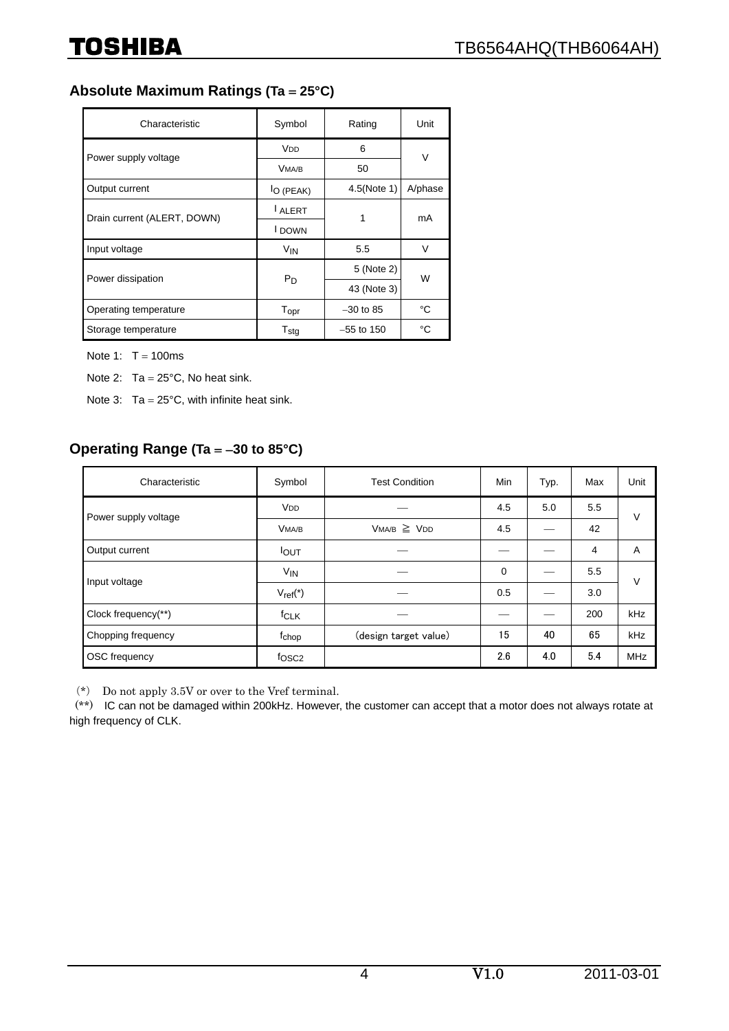### **Absolute Maximum Ratings (Ta** = **25°C)**

| Characteristic              | Symbol                | Rating       | Unit    |  |
|-----------------------------|-----------------------|--------------|---------|--|
| Power supply voltage        | <b>V<sub>DD</sub></b> | 6            | $\vee$  |  |
|                             | VMA/B                 | 50           |         |  |
| Output current              | l <sub>O</sub> (PEAK) | 4.5(Note 1)  | A/phase |  |
| Drain current (ALERT, DOWN) | I ALERT               | 1            | mA      |  |
|                             | I DOWN                |              |         |  |
| Input voltage               | <b>V<sub>IN</sub></b> | 5.5          | V       |  |
| Power dissipation           |                       | 5 (Note 2)   | W       |  |
|                             | $P_D$                 | 43 (Note 3)  |         |  |
| Operating temperature       | Topr                  | $-30$ to 85  | °C      |  |
| Storage temperature         | $T_{\text{stg}}$      | $-55$ to 150 | °C      |  |

Note 1:  $T = 100$ ms

Note 2:  $Ta = 25^{\circ}C$ , No heat sink.

Note 3:  $Ta = 25^{\circ}C$ , with infinite heat sink.

### **Operating Range (Ta** = −**30 to 85°C)**

| Characteristic       | Symbol                | <b>Test Condition</b> | Min         | Typ. | Max | Unit       |  |
|----------------------|-----------------------|-----------------------|-------------|------|-----|------------|--|
| Power supply voltage | <b>V<sub>DD</sub></b> |                       | 4.5         | 5.0  | 5.5 | V          |  |
|                      | VMA/B                 | $VMA/B \ge VDD$       | 4.5         |      | 42  |            |  |
| Output current       | <b>IOUT</b>           |                       |             |      | 4   | A          |  |
| Input voltage        | V <sub>IN</sub>       |                       | $\mathbf 0$ |      | 5.5 | V          |  |
|                      | $V_{ref}$ (*)         |                       | 0.5         |      | 3.0 |            |  |
| Clock frequency(**)  | f <sub>CLK</sub>      |                       |             |      | 200 | kHz        |  |
| Chopping frequency   | fchop                 | (design target value) | 15          | 40   | 65  | kHz        |  |
| <b>OSC</b> frequency | fosc <sub>2</sub>     |                       | 2.6         | 4.0  | 5.4 | <b>MHz</b> |  |

(\*) Do not apply 3.5V or over to the Vref terminal.

(\*\*) IC can not be damaged within 200kHz. However, the customer can accept that a motor does not always rotate at high frequency of CLK.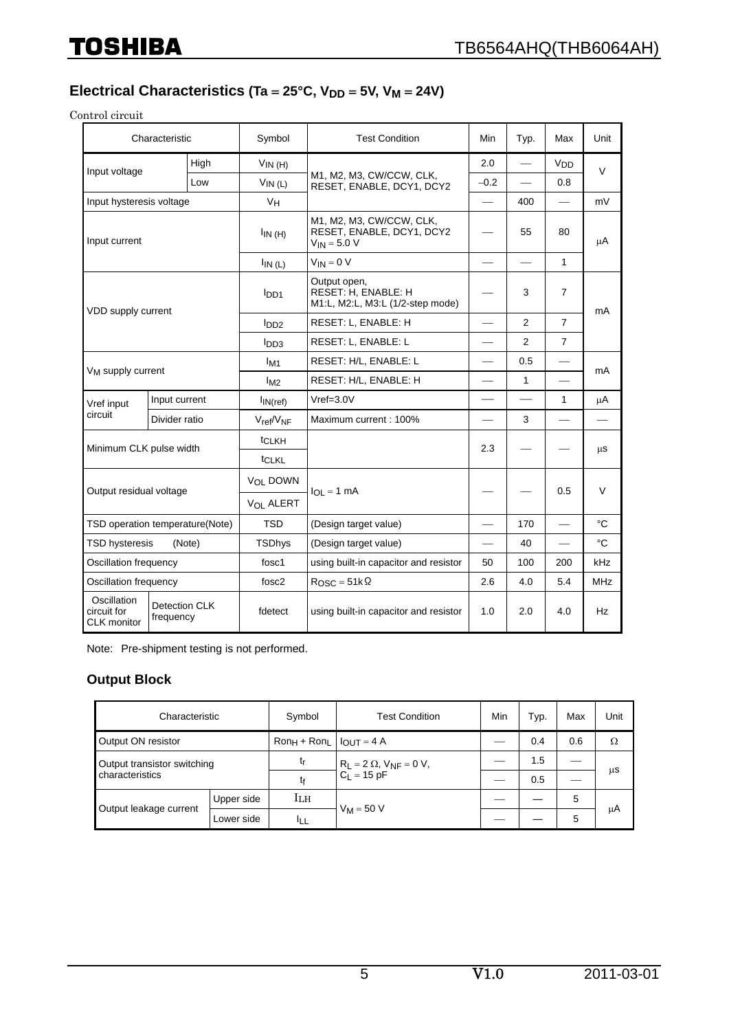# Electrical Characteristics (Ta = 25°C, V<sub>DD</sub> = 5V, V<sub>M</sub> = 24V)

Control circuit

| Characteristic                            |                                   | Symbol                | <b>Test Condition</b>                                                     | Min    | Typ.                     | Max             | Unit       |  |
|-------------------------------------------|-----------------------------------|-----------------------|---------------------------------------------------------------------------|--------|--------------------------|-----------------|------------|--|
| Input voltage                             | High                              | $V_{IN(H)}$           |                                                                           | 2.0    |                          | V <sub>DD</sub> | $\vee$     |  |
|                                           | Low                               | $V_{IN(L)}$           | M1, M2, M3, CW/CCW, CLK,<br>RESET, ENABLE, DCY1, DCY2                     | $-0.2$ | $\overline{\phantom{0}}$ | 0.8             |            |  |
| Input hysteresis voltage                  |                                   | V <sub>H</sub>        |                                                                           |        | 400                      |                 | mV         |  |
| Input current                             |                                   | $I_{IN(H)}$           | M1, M2, M3, CW/CCW, CLK,<br>RESET, ENABLE, DCY1, DCY2<br>$V_{IN}$ = 5.0 V |        | 55                       | 80              | μA         |  |
|                                           |                                   | $I_{IN(L)}$           | $V_{IN} = 0 V$                                                            |        |                          | 1               |            |  |
| VDD supply current                        |                                   | I <sub>DD1</sub>      | Output open,<br>RESET: H, ENABLE: H<br>M1:L, M2:L, M3:L (1/2-step mode)   |        | 3                        | $\overline{7}$  | mA         |  |
|                                           |                                   | I <sub>DD2</sub>      | RESET: L. ENABLE: H<br>2                                                  |        | 7                        |                 |            |  |
|                                           |                                   | I <sub>DD3</sub>      | RESET: L. ENABLE: L                                                       |        | $\overline{2}$           | $\overline{7}$  |            |  |
|                                           |                                   | I <sub>M1</sub>       | RESET: H/L, ENABLE: L                                                     |        | 0.5                      |                 | mA         |  |
| V <sub>M</sub> supply current             |                                   | $I_{M2}$              | RESET: H/L, ENABLE: H                                                     |        | $\mathbf{1}$             |                 |            |  |
| Vref input                                | Input current                     | $I_{IN(ref)}$         | $Vref=3.0V$                                                               |        |                          | 1               | μA         |  |
| circuit<br>Divider ratio                  |                                   | $V_{ref}/V_{NF}$      | Maximum current: 100%                                                     |        | 3                        |                 |            |  |
| Minimum CLK pulse width                   |                                   | t <sub>CLKH</sub>     |                                                                           | 2.3    |                          |                 | μS         |  |
|                                           |                                   | tCLKL                 |                                                                           |        |                          |                 |            |  |
|                                           |                                   | V <sub>OI</sub> DOWN  |                                                                           |        |                          |                 |            |  |
| Output residual voltage                   |                                   | V <sub>OL</sub> ALERT | $I_{OL} = 1$ mA                                                           |        |                          | 0.5             | $\vee$     |  |
|                                           | TSD operation temperature(Note)   | <b>TSD</b>            | (Design target value)                                                     |        | 170                      | $\qquad \qquad$ | °C         |  |
| <b>TSD hysteresis</b><br>(Note)           |                                   | <b>TSDhys</b>         | (Design target value)                                                     |        | 40                       |                 | °C         |  |
| Oscillation frequency                     |                                   | fosc1                 | using built-in capacitor and resistor                                     | 50     | 100                      | 200             | kHz        |  |
| Oscillation frequency                     |                                   | fosc <sub>2</sub>     | $R_{\text{OSC}} = 51 \text{k} \Omega$                                     | 2.6    | 4.0                      | 5.4             | <b>MHz</b> |  |
| Oscillation<br>circuit for<br>CLK monitor | <b>Detection CLK</b><br>frequency | fdetect               | using built-in capacitor and resistor                                     | 1.0    | 2.0                      | 4.0             | Hz         |  |

Note: Pre-shipment testing is not performed.

#### **Output Block**

| Characteristic              |            | Symbol                              | <b>Test Condition</b>                                         | Min | Typ. | Max | Unit |
|-----------------------------|------------|-------------------------------------|---------------------------------------------------------------|-----|------|-----|------|
| Output ON resistor          |            | $Ron_H + Ron_L$ $ $ $ _{OUT} = 4$ A |                                                               |     | 0.4  | 0.6 | Ω    |
| Output transistor switching |            | tr                                  | $R_L = 2 \Omega$ , $V_{NF} = 0 V$ ,<br>C <sub>L</sub> = 15 pF |     | 1.5  |     |      |
| characteristics             |            | tf                                  |                                                               |     | 0.5  |     | μS   |
|                             | Upper side | Iгн                                 |                                                               |     |      | 5   |      |
| Output leakage current      | Lower side | IЦ                                  | $V_M = 50 V$                                                  |     |      | 5   | μA   |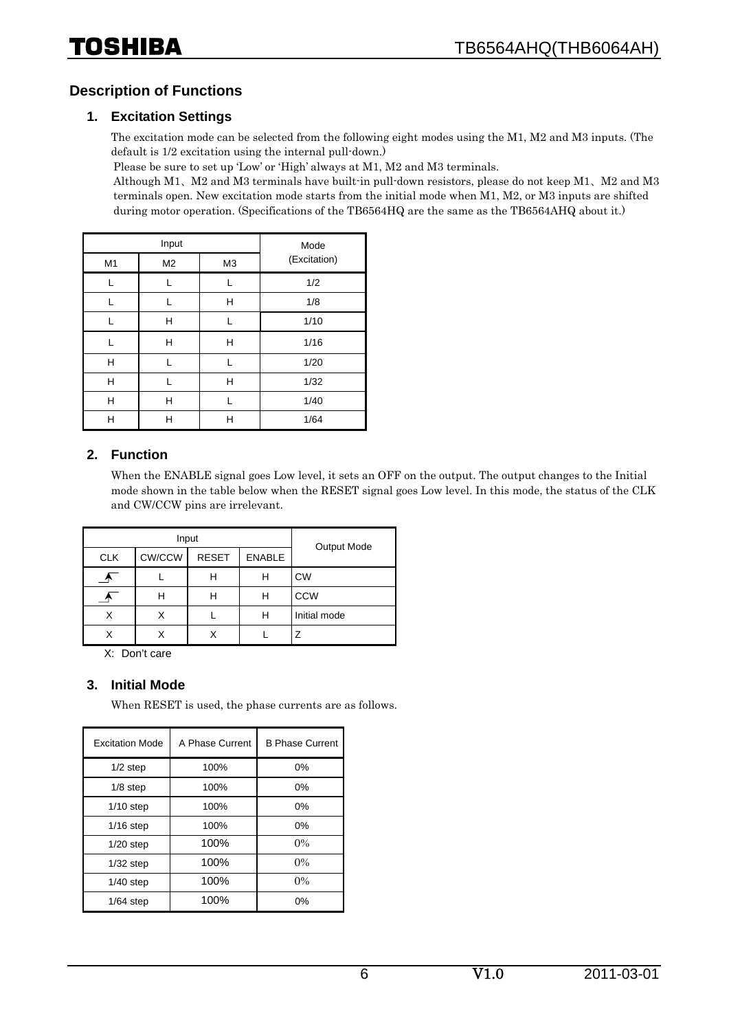### **Description of Functions**

#### **1. Excitation Settings**

The excitation mode can be selected from the following eight modes using the M1, M2 and M3 inputs. (The default is 1/2 excitation using the internal pull-down.)

Please be sure to set up 'Low' or 'High' always at M1, M2 and M3 terminals.

Although M1、M2 and M3 terminals have built-in pull-down resistors, please do not keep M1、M2 and M3 terminals open. New excitation mode starts from the initial mode when M1, M2, or M3 inputs are shifted during motor operation. (Specifications of the TB6564HQ are the same as the TB6564AHQ about it.)

|    | Input          |                | Mode         |
|----|----------------|----------------|--------------|
| M1 | M <sub>2</sub> | M <sub>3</sub> | (Excitation) |
| L  |                |                | 1/2          |
|    |                | H              | 1/8          |
|    | н              |                | 1/10         |
|    | н              | н              | 1/16         |
| н  |                | L              | 1/20         |
| H  |                | н              | 1/32         |
| н  | н              |                | 1/40         |
| Н  | н              | Н              | 1/64         |

#### **2. Function**

When the ENABLE signal goes Low level, it sets an OFF on the output. The output changes to the Initial mode shown in the table below when the RESET signal goes Low level. In this mode, the status of the CLK and CW/CCW pins are irrelevant.

|            | Input  | Output Mode  |               |              |
|------------|--------|--------------|---------------|--------------|
| <b>CLK</b> | CW/CCW | <b>RESET</b> | <b>ENABLE</b> |              |
|            |        |              | н             | <b>CW</b>    |
|            | н      |              | н             | <b>CCW</b>   |
| Χ          |        |              | н             | Initial mode |
| x          |        |              |               | 7            |

X: Don't care

#### **3. Initial Mode**

When RESET is used, the phase currents are as follows.

| <b>Excitation Mode</b> | A Phase Current | <b>B Phase Current</b> |
|------------------------|-----------------|------------------------|
| $1/2$ step             | 100%            | 0%                     |
| $1/8$ step             | 100%            | $0\%$                  |
| $1/10$ step            | 100%            | 0%                     |
| $1/16$ step            | 100%            | $0\%$                  |
| $1/20$ step            | 100%            | $0\%$                  |
| $1/32$ step            | 100%            | $0\%$                  |
| $1/40$ step            | 100%            | $0\%$                  |
| $1/64$ step            | 100%            | 0%                     |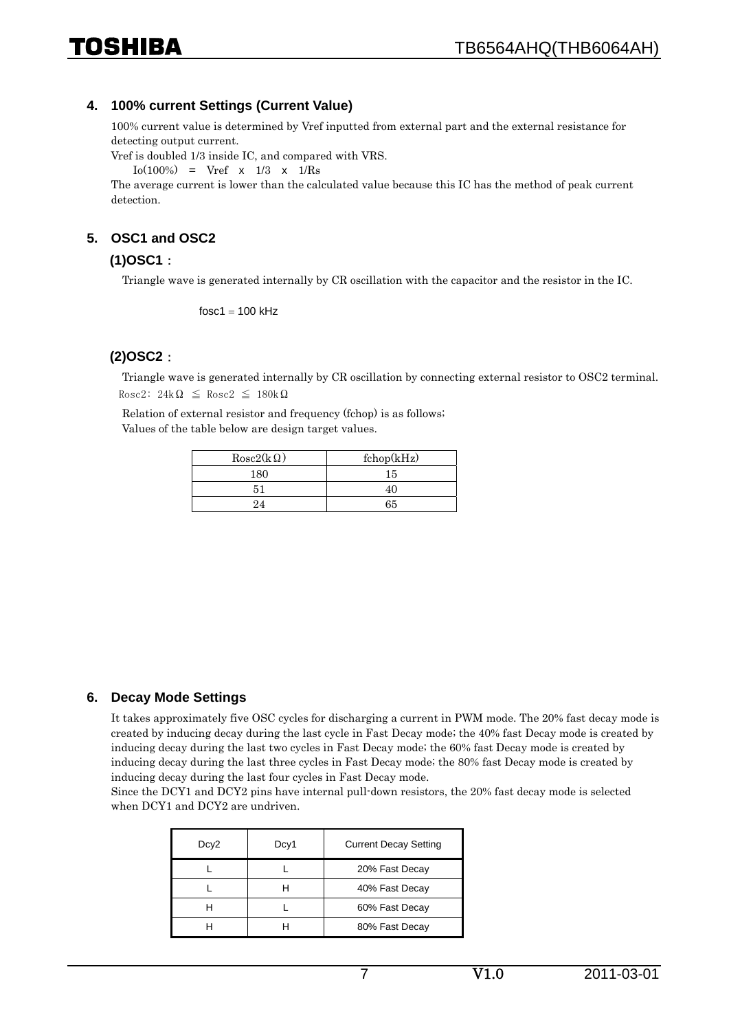#### **4. 100% current Settings (Current Value)**

100% current value is determined by Vref inputted from external part and the external resistance for detecting output current.

Vref is doubled 1/3 inside IC, and compared with VRS.

 $I_0(100\%)$  = Vref x  $1/3$  x  $1/Rs$ 

The average current is lower than the calculated value because this IC has the method of peak current detection.

#### **5. OSC1 and OSC2**

#### **(1)OSC1**:

Triangle wave is generated internally by CR oscillation with the capacitor and the resistor in the IC.

 $f$ osc1 = 100 kHz

#### **(2)OSC2**:

Triangle wave is generated internally by CR oscillation by connecting external resistor to OSC2 terminal. Rosc2:  $24k\Omega \leq R \text{osc2} \leq 180k\Omega$ 

Relation of external resistor and frequency (fchop) is as follows; Values of the table below are design target values.

| $Rosc2(k \Omega)$ | fchop(kHz) |
|-------------------|------------|
| 180               | 15         |
|                   |            |
| 94                | 65         |

#### **6. Decay Mode Settings**

It takes approximately five OSC cycles for discharging a current in PWM mode. The 20% fast decay mode is created by inducing decay during the last cycle in Fast Decay mode; the 40% fast Decay mode is created by inducing decay during the last two cycles in Fast Decay mode; the 60% fast Decay mode is created by inducing decay during the last three cycles in Fast Decay mode; the 80% fast Decay mode is created by inducing decay during the last four cycles in Fast Decay mode.

Since the DCY1 and DCY2 pins have internal pull-down resistors, the 20% fast decay mode is selected when DCY1 and DCY2 are undriven.

| Dcy <sub>2</sub> | Dcy1 | <b>Current Decay Setting</b> |
|------------------|------|------------------------------|
|                  |      | 20% Fast Decay               |
|                  |      | 40% Fast Decay               |
|                  |      | 60% Fast Decay               |
|                  |      | 80% Fast Decay               |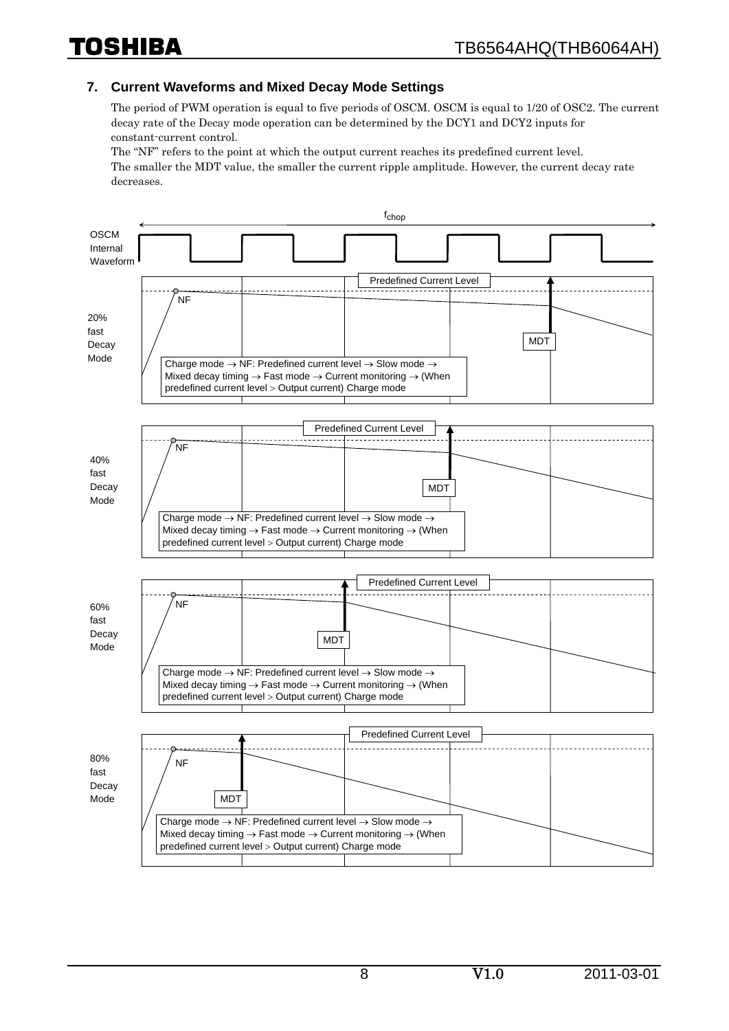#### **7. Current Waveforms and Mixed Decay Mode Settings**

The period of PWM operation is equal to five periods of OSCM. OSCM is equal to 1/20 of OSC2. The current decay rate of the Decay mode operation can be determined by the DCY1 and DCY2 inputs for constant-current control.

The "NF" refers to the point at which the output current reaches its predefined current level. The smaller the MDT value, the smaller the current ripple amplitude. However, the current decay rate decreases.

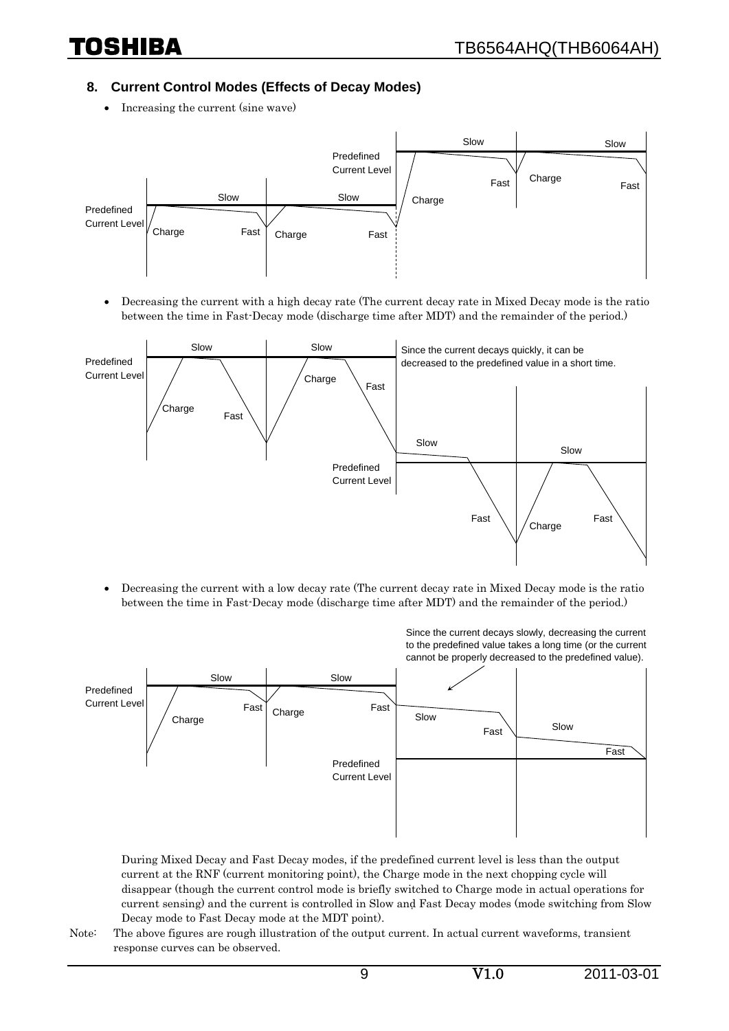#### **8. Current Control Modes (Effects of Decay Modes)**

• Increasing the current (sine wave)



• Decreasing the current with a high decay rate (The current decay rate in Mixed Decay mode is the ratio between the time in Fast-Decay mode (discharge time after MDT) and the remainder of the period.)



• Decreasing the current with a low decay rate (The current decay rate in Mixed Decay mode is the ratio between the time in Fast-Decay mode (discharge time after MDT) and the remainder of the period.)



During Mixed Decay and Fast Decay modes, if the predefined current level is less than the output current at the RNF (current monitoring point), the Charge mode in the next chopping cycle will disappear (though the current control mode is briefly switched to Charge mode in actual operations for current sensing) and the current is controlled in Slow and Fast Decay modes (mode switching from Slow Decay mode to Fast Decay mode at the MDT point).

Note: The above figures are rough illustration of the output current. In actual current waveforms, transient response curves can be observed.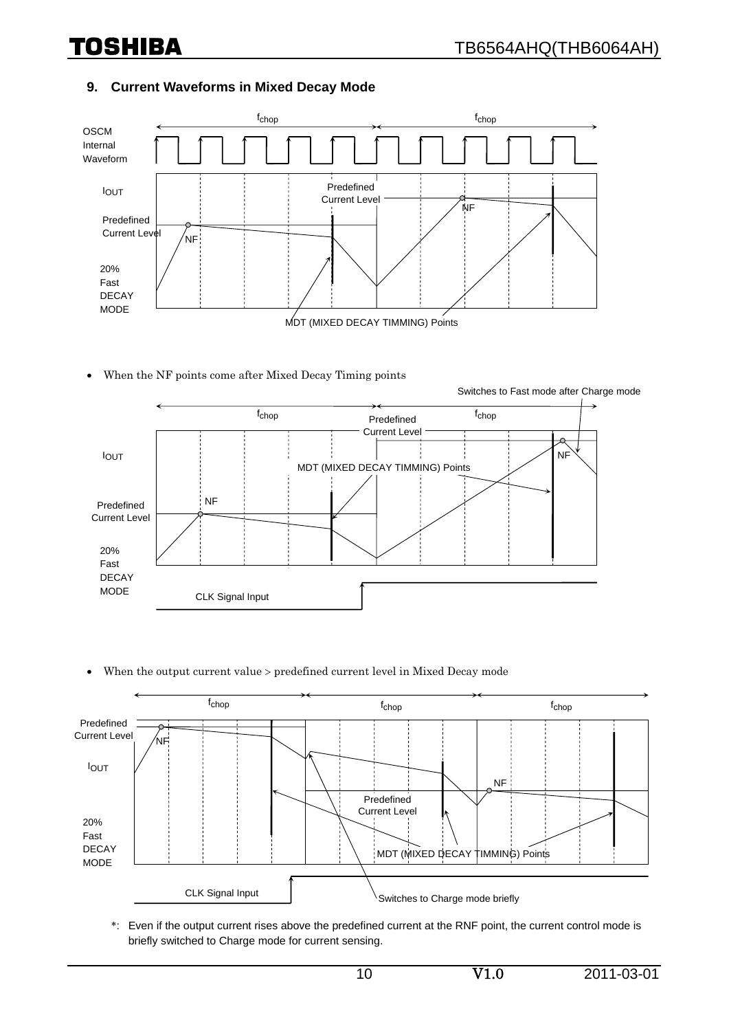#### **9. Current Waveforms in Mixed Decay Mode**



• When the NF points come after Mixed Decay Timing points



• When the output current value > predefined current level in Mixed Decay mode



\*: Even if the output current rises above the predefined current at the RNF point, the current control mode is briefly switched to Charge mode for current sensing.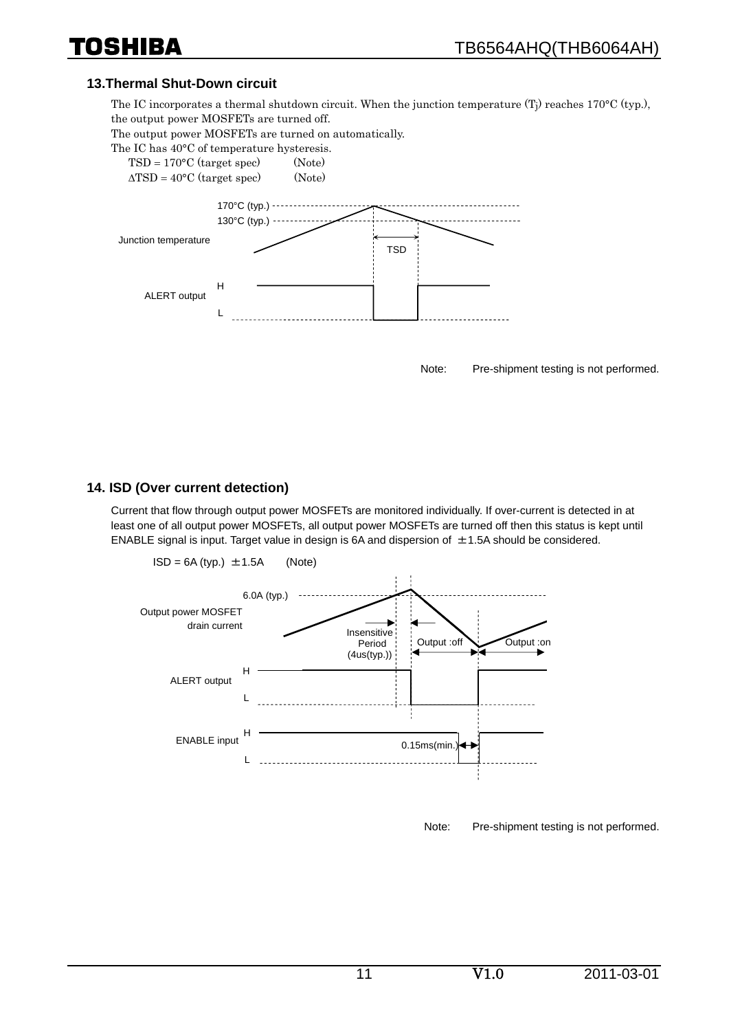#### **13.Thermal Shut-Down circuit**

The IC incorporates a thermal shutdown circuit. When the junction temperature  $(T<sub>i</sub>)$  reaches 170°C (typ.), the output power MOSFETs are turned off.

The output power MOSFETs are turned on automatically.

The IC has 40°C of temperature hysteresis.

 $TSD = 170\textdegree C$  (target spec) (Note)  $\triangle$ TSD = 40°C (target spec) (Note)



Note: Pre-shipment testing is not performed.

#### **14. ISD (Over current detection)**

Current that flow through output power MOSFETs are monitored individually. If over-current is detected in at least one of all output power MOSFETs, all output power MOSFETs are turned off then this status is kept until ENABLE signal is input. Target value in design is 6A and dispersion of  $\pm$ 1.5A should be considered.



Note: Pre-shipment testing is not performed.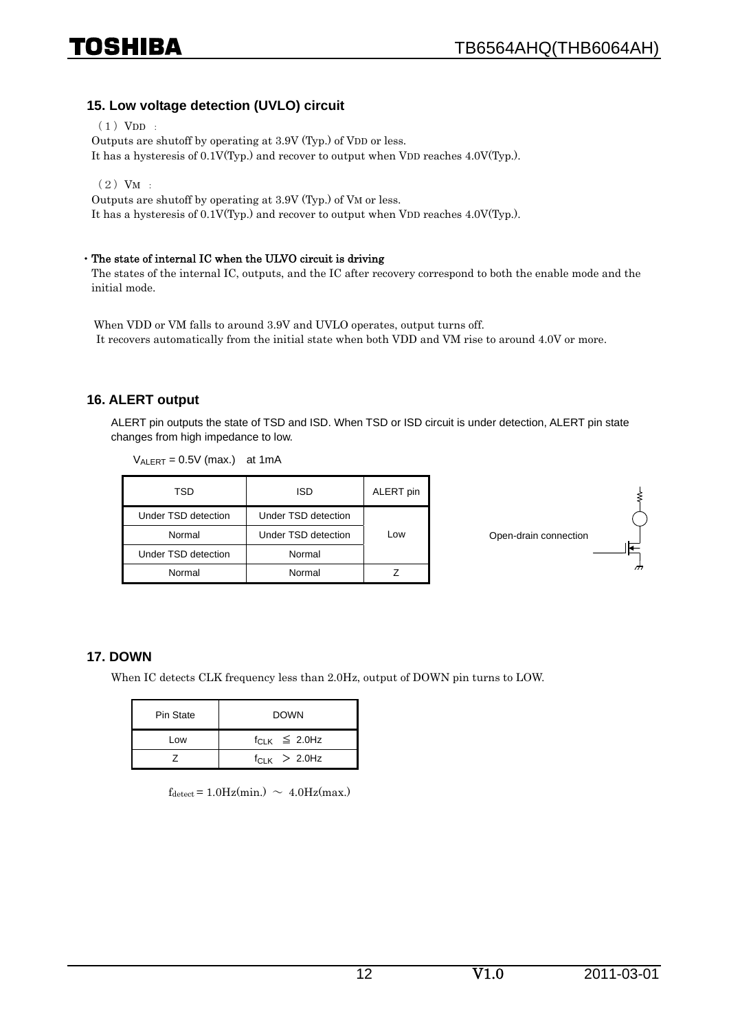#### **15. Low voltage detection (UVLO) circuit**

 $(1)$  VDD :

Outputs are shutoff by operating at 3.9V (Typ.) of VDD or less.

It has a hysteresis of 0.1V(Typ.) and recover to output when VDD reaches 4.0V(Typ.).

 $(2)$  VM :

Outputs are shutoff by operating at 3.9V (Typ.) of VM or less.

It has a hysteresis of 0.1V(Typ.) and recover to output when VDD reaches 4.0V(Typ.).

#### ・The state of internal IC when the ULVO circuit is driving

The states of the internal IC, outputs, and the IC after recovery correspond to both the enable mode and the initial mode.

When VDD or VM falls to around 3.9V and UVLO operates, output turns off. It recovers automatically from the initial state when both VDD and VM rise to around 4.0V or more.

#### **16. ALERT output**

ALERT pin outputs the state of TSD and ISD. When TSD or ISD circuit is under detection, ALERT pin state changes from high impedance to low.

 $V_{ALERT}$  = 0.5V (max.) at 1mA

| TSD                 | ISD                 | ALERT pin |
|---------------------|---------------------|-----------|
| Under TSD detection | Under TSD detection |           |
| Normal              | Under TSD detection | Low       |
| Under TSD detection | Normal              |           |
| Normal              | Normal              |           |



#### **17. DOWN**

When IC detects CLK frequency less than 2.0Hz, output of DOWN pin turns to LOW.

| Pin State | <b>DOWN</b>            |  |  |
|-----------|------------------------|--|--|
| Low       | $f_{C1 K} \leq 2.0 Hz$ |  |  |
|           | $f_{C1 K}$ > 2.0Hz     |  |  |

 $f_{\text{detect}} = 1.0 \text{Hz}(\text{min.}) \sim 4.0 \text{Hz}(\text{max.})$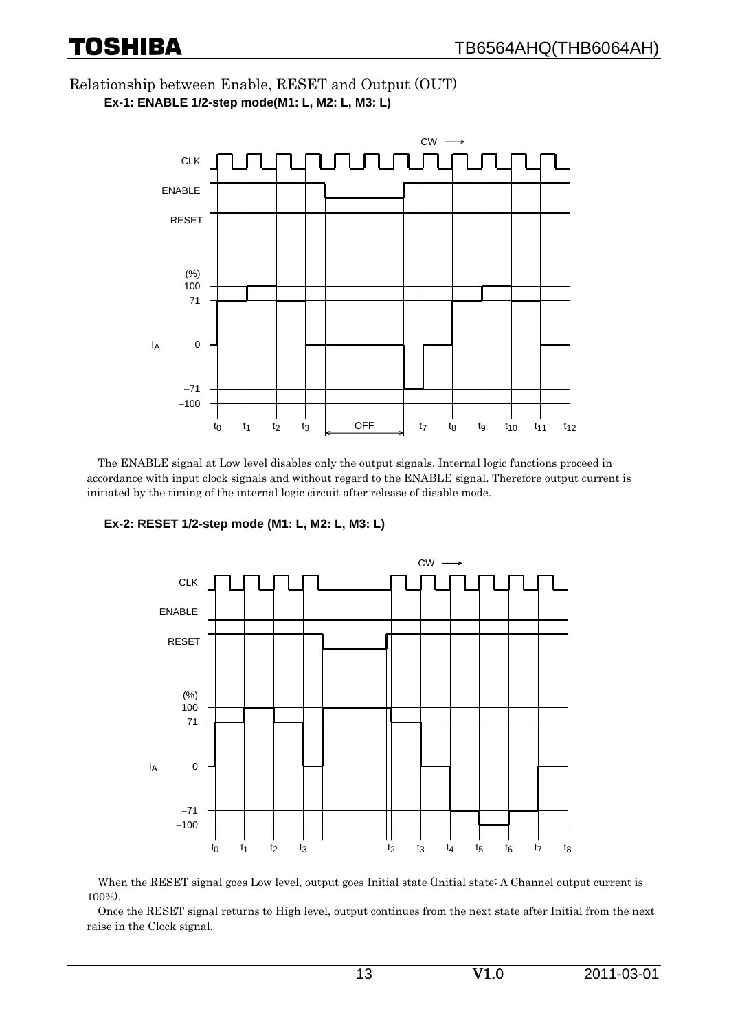Relationship between Enable, RESET and Output (OUT) **Ex-1: ENABLE 1/2-step mode(M1: L, M2: L, M3: L)** 



The ENABLE signal at Low level disables only the output signals. Internal logic functions proceed in accordance with input clock signals and without regard to the ENABLE signal. Therefore output current is initiated by the timing of the internal logic circuit after release of disable mode.

**Ex-2: RESET 1/2-step mode (M1: L, M2: L, M3: L)** 



When the RESET signal goes Low level, output goes Initial state (Initial state: A Channel output current is 100%).

Once the RESET signal returns to High level, output continues from the next state after Initial from the next raise in the Clock signal.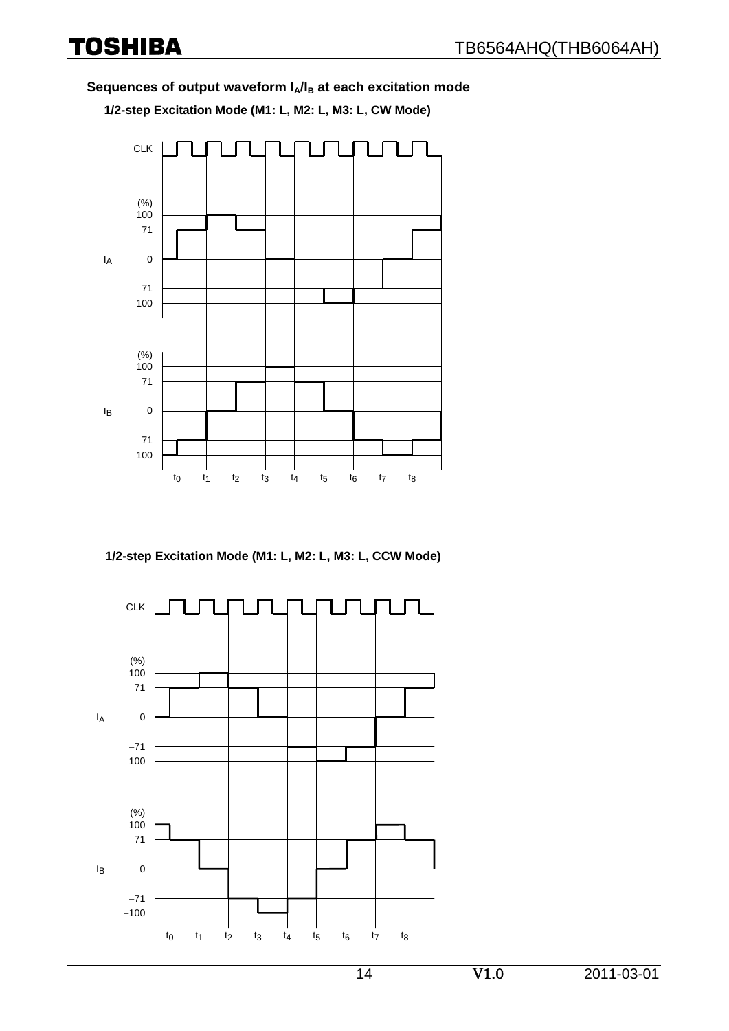#### Sequences of output waveform I<sub>A</sub>/I<sub>B</sub> at each excitation mode

**1/2-step Excitation Mode (M1: L, M2: L, M3: L, CW Mode)** 



**1/2-step Excitation Mode (M1: L, M2: L, M3: L, CCW Mode)**

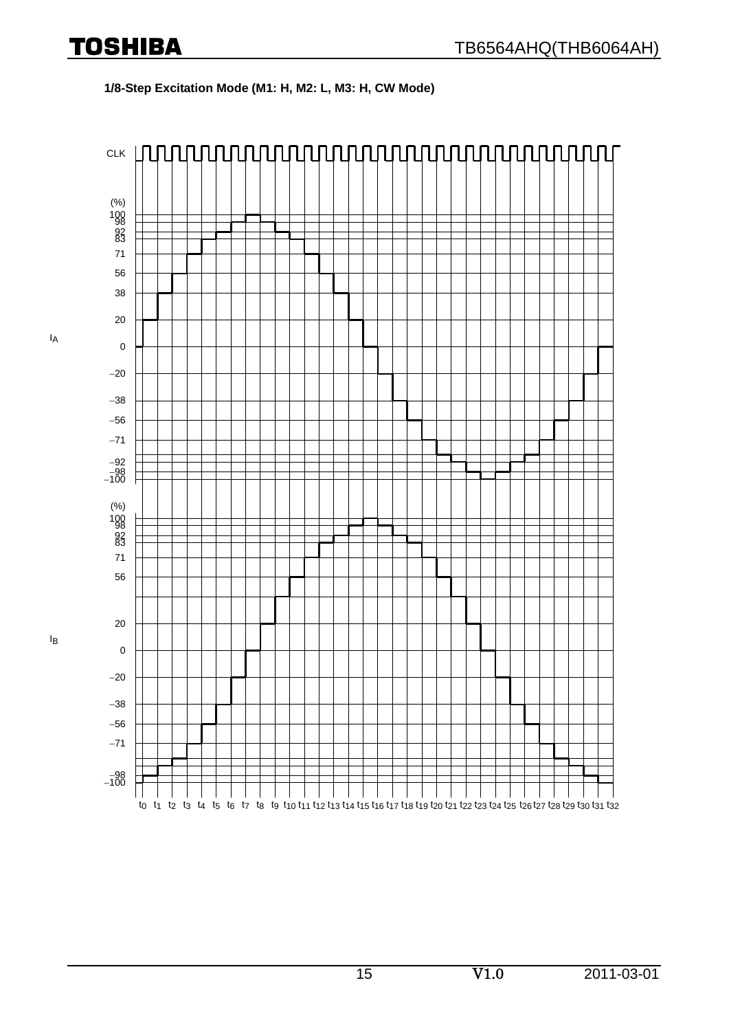#### **1/8-Step Excitation Mode (M1: H, M2: L, M3: H, CW Mode)**

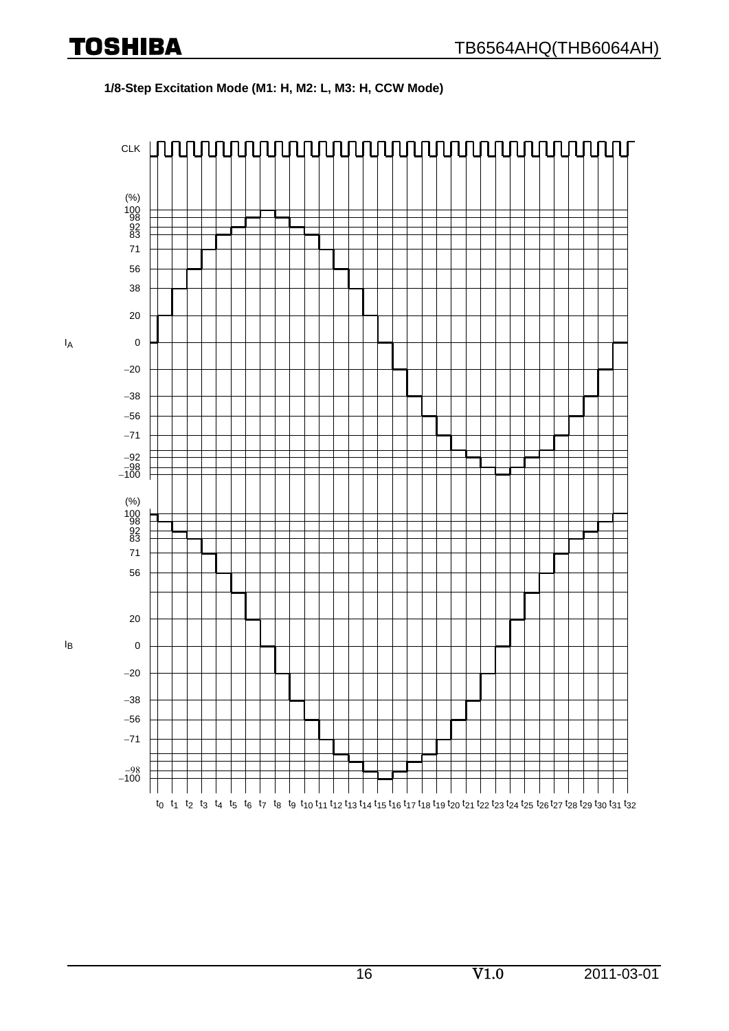#### **1/8-Step Excitation Mode (M1: H, M2: L, M3: H, CCW Mode)**



IA

IB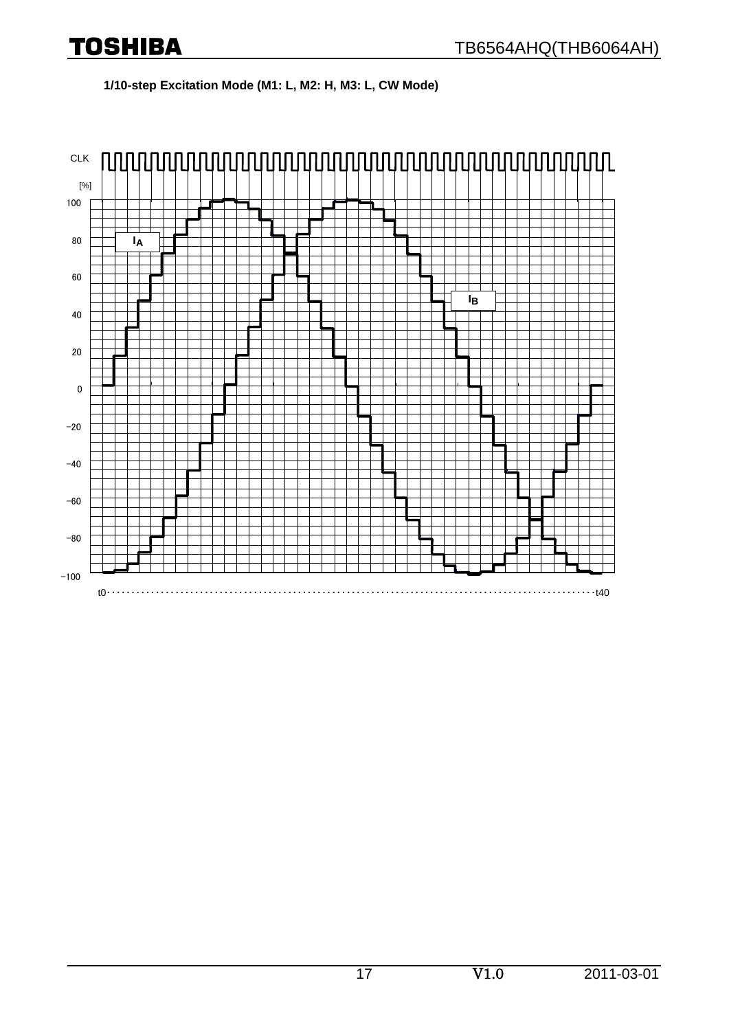**1/10-step Excitation Mode (M1: L, M2: H, M3: L, CW Mode)** 

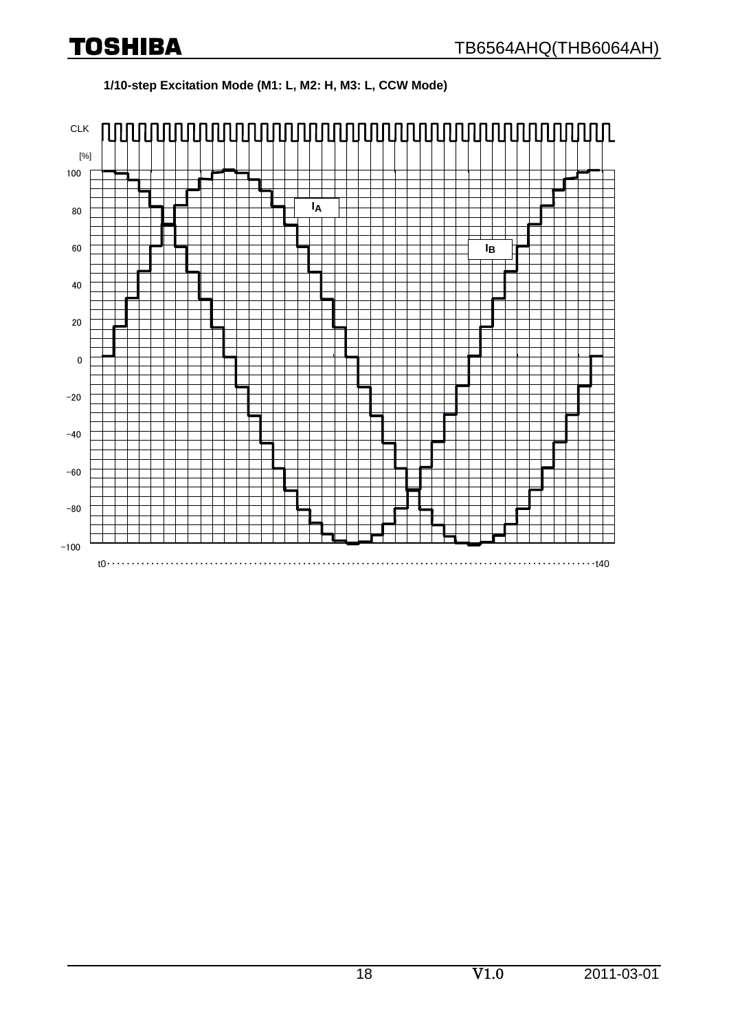### **1/10-step Excitation Mode (M1: L, M2: H, M3: L, CCW Mode)**

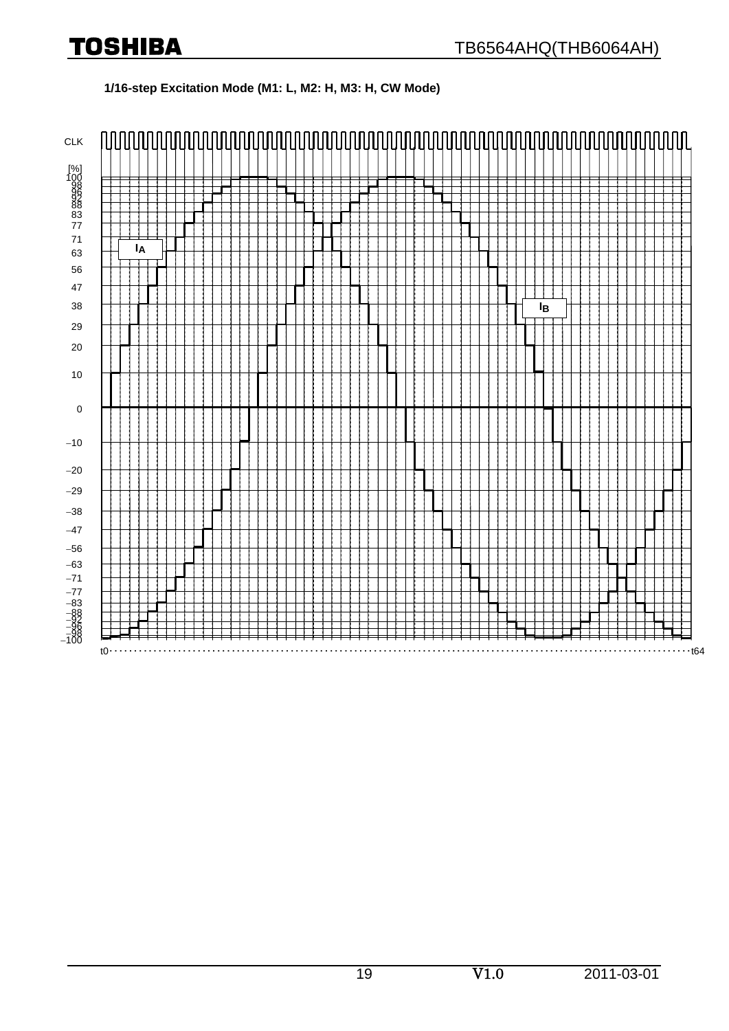#### **1/16-step Excitation Mode (M1: L, M2: H, M3: H, CW Mode)**

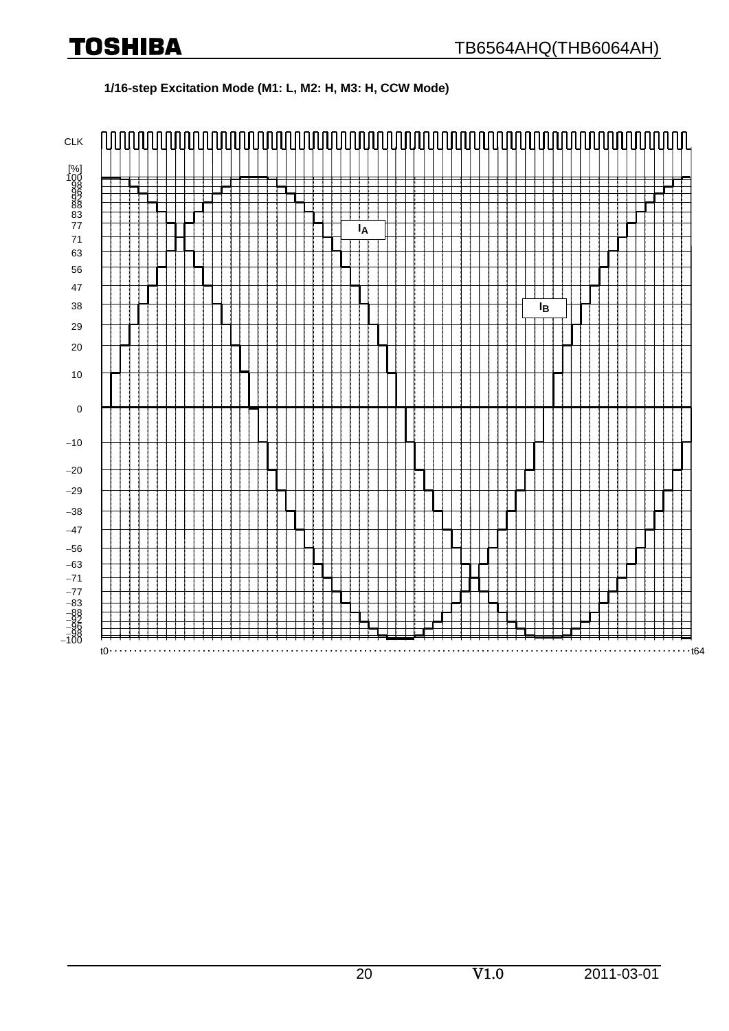#### **1/16-step Excitation Mode (M1: L, M2: H, M3: H, CCW Mode)**

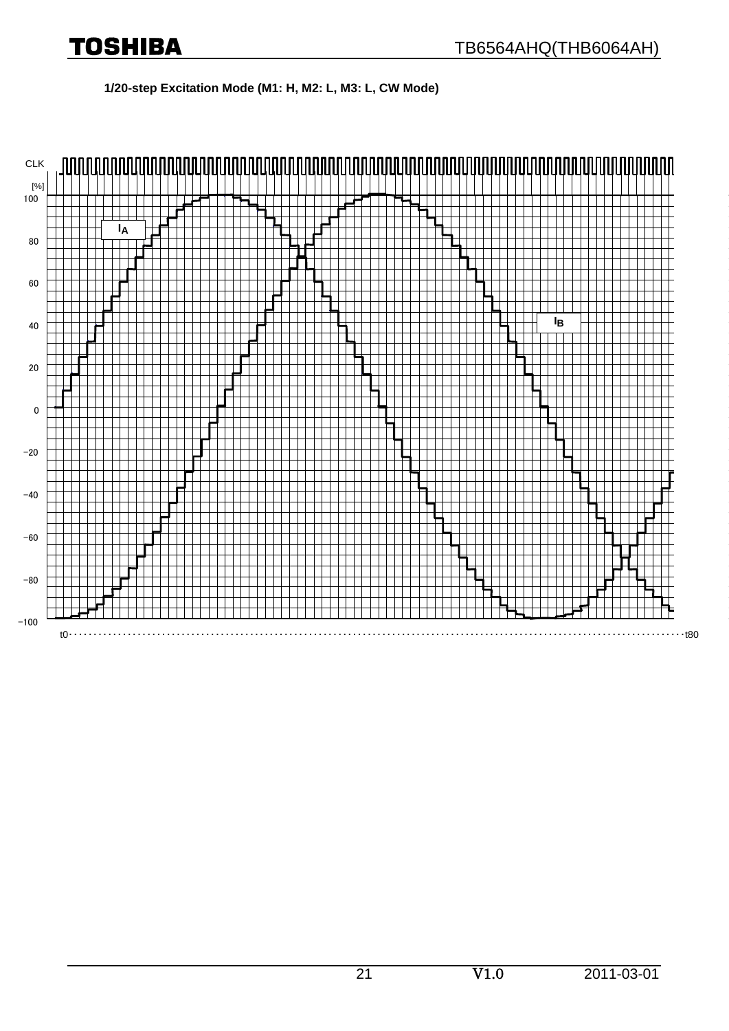**1/20-step Excitation Mode (M1: H, M2: L, M3: L, CW Mode)** 

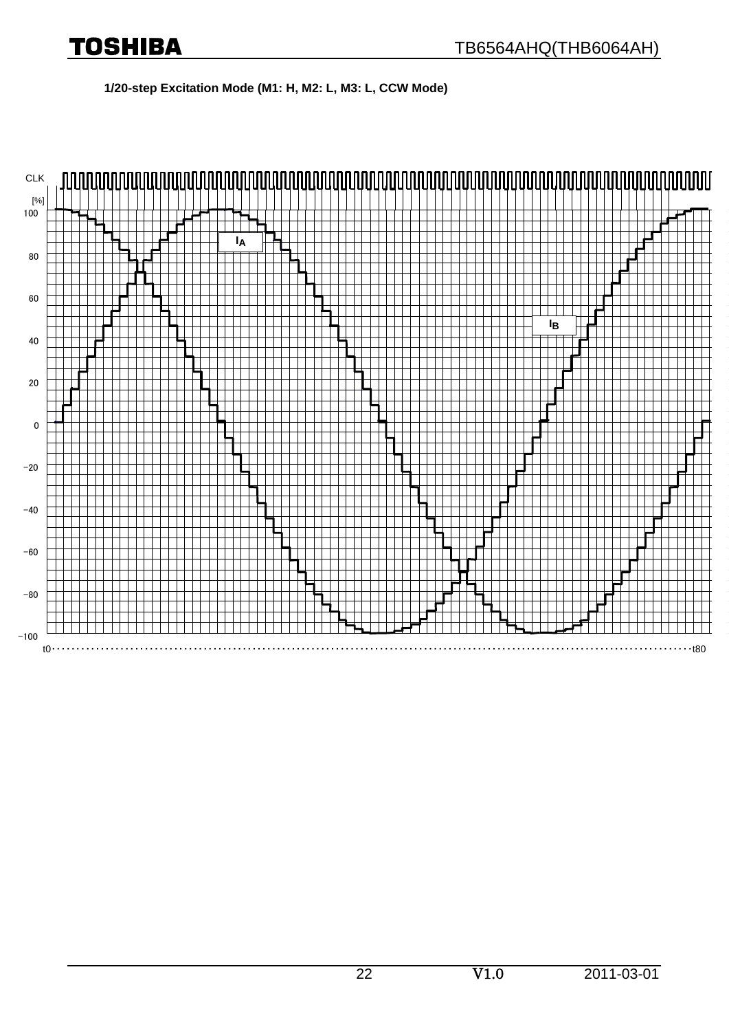**1/20-step Excitation Mode (M1: H, M2: L, M3: L, CCW Mode)** 

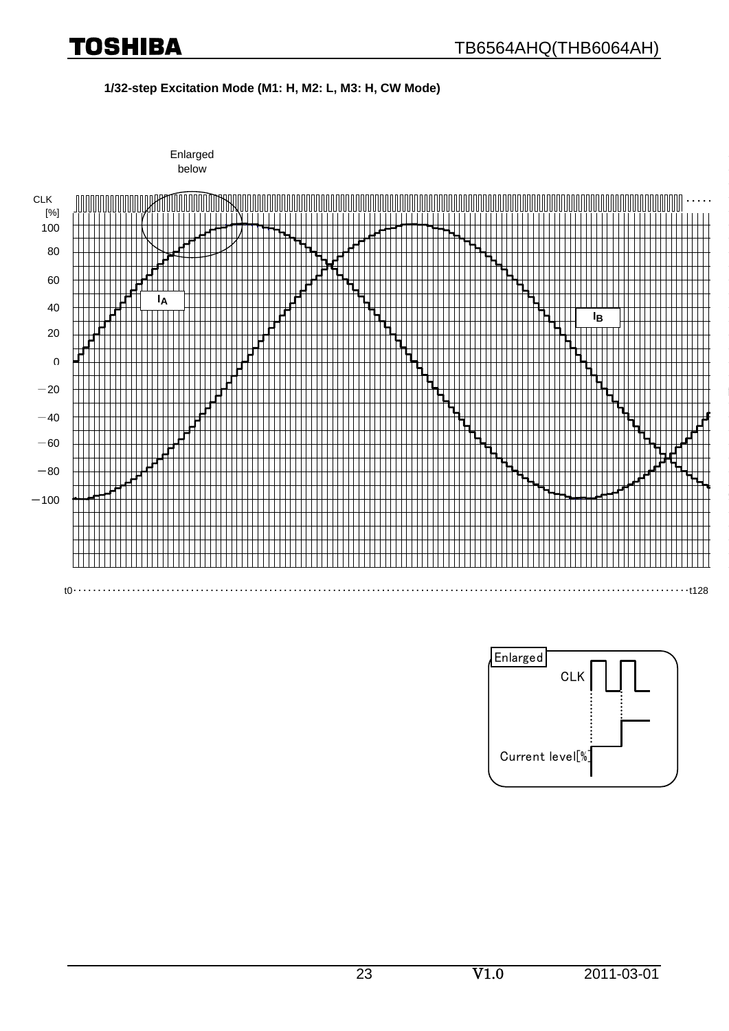**1/32-step Excitation Mode (M1: H, M2: L, M3: H, CW Mode)** 



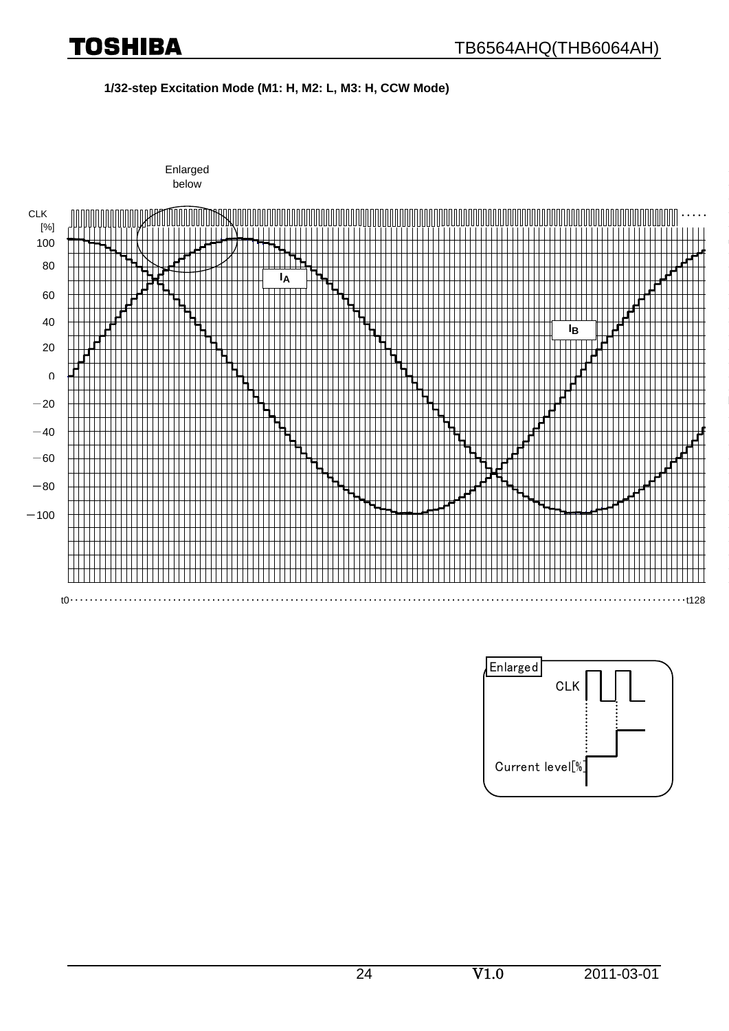**1/32-step Excitation Mode (M1: H, M2: L, M3: H, CCW Mode)** 



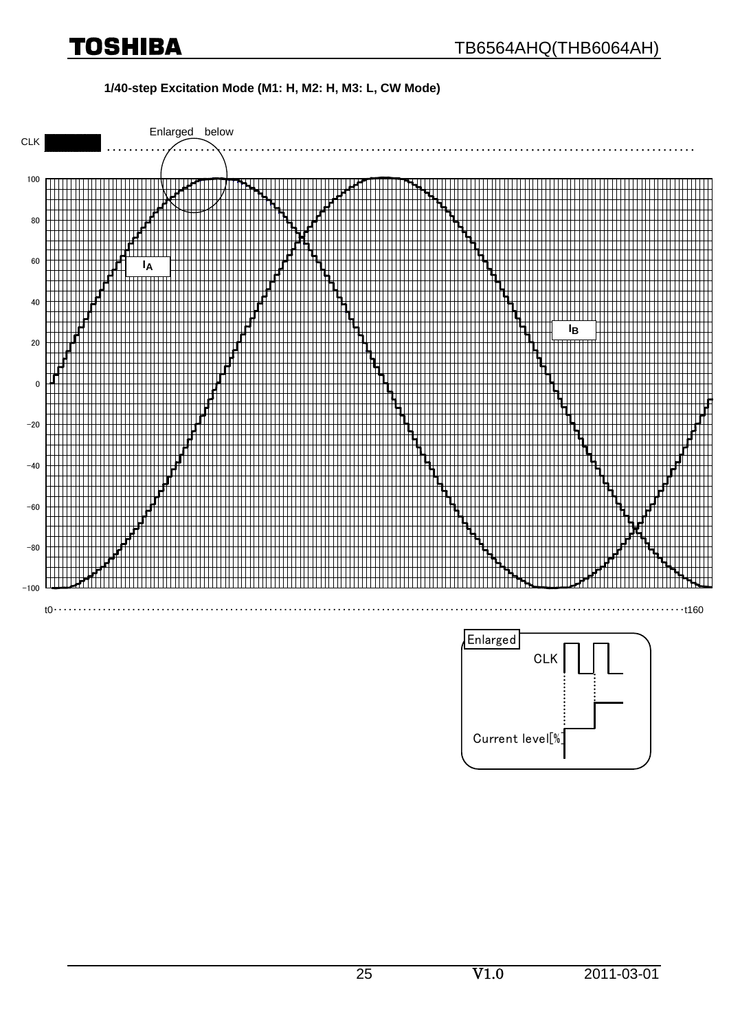#### **1/40-step Excitation Mode (M1: H, M2: H, M3: L, CW Mode)**

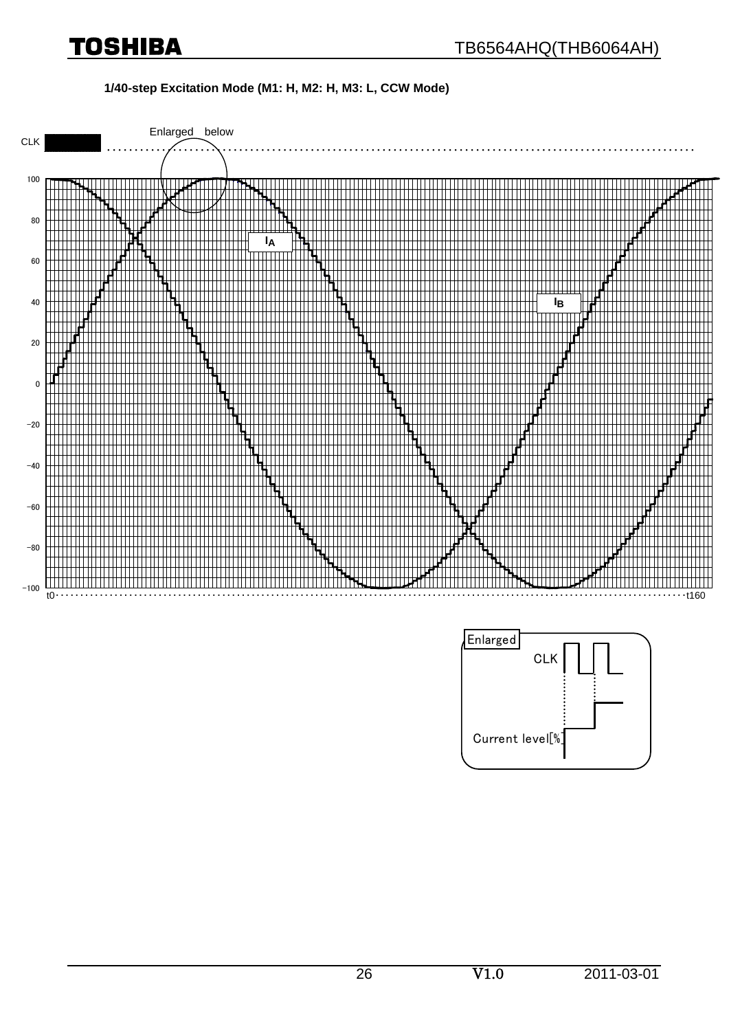#### **1/40-step Excitation Mode (M1: H, M2: H, M3: L, CCW Mode)**



Current level[%]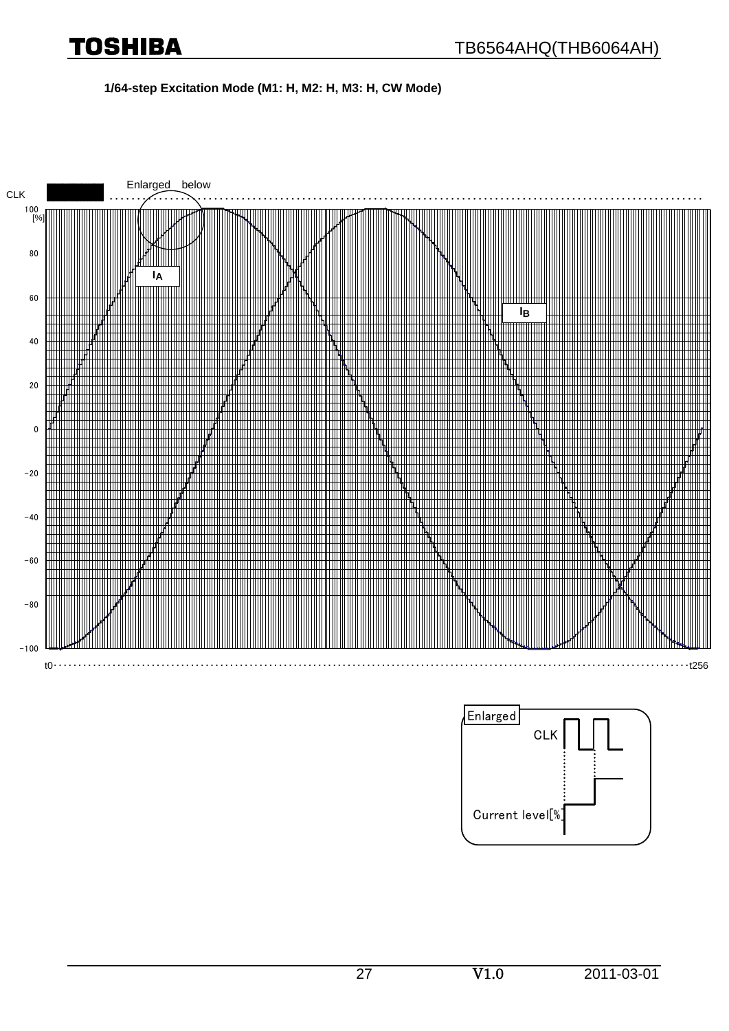#### **1/64-step Excitation Mode (M1: H, M2: H, M3: H, CW Mode)**

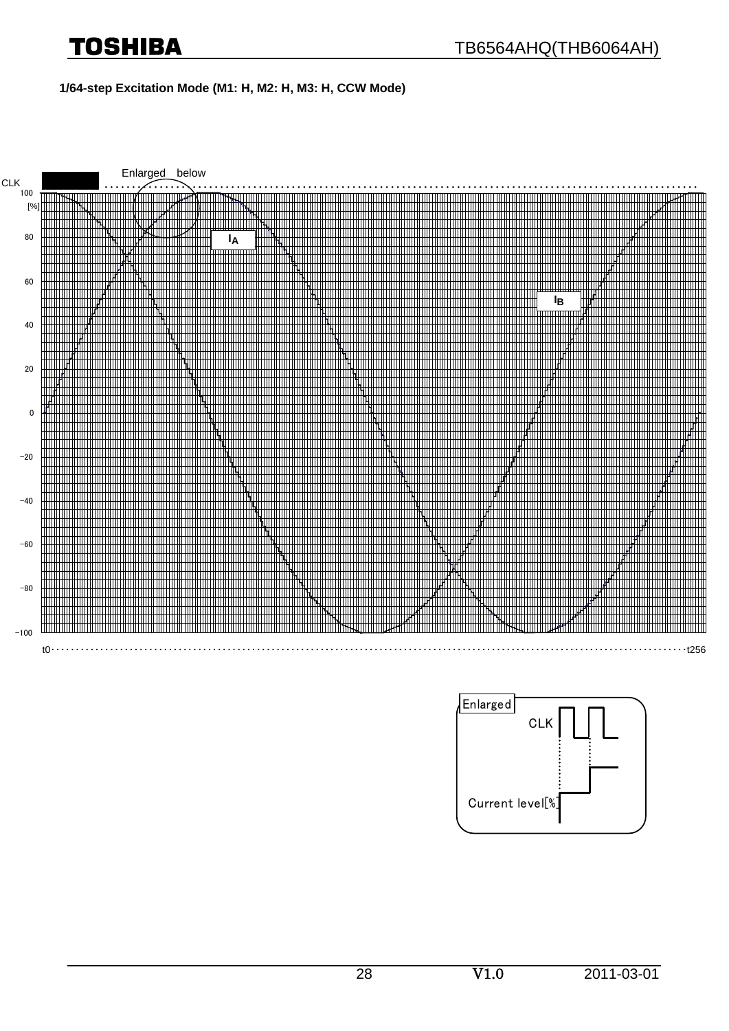# Toshiba

#### **1/64-step Excitation Mode (M1: H, M2: H, M3: H, CCW Mode)**

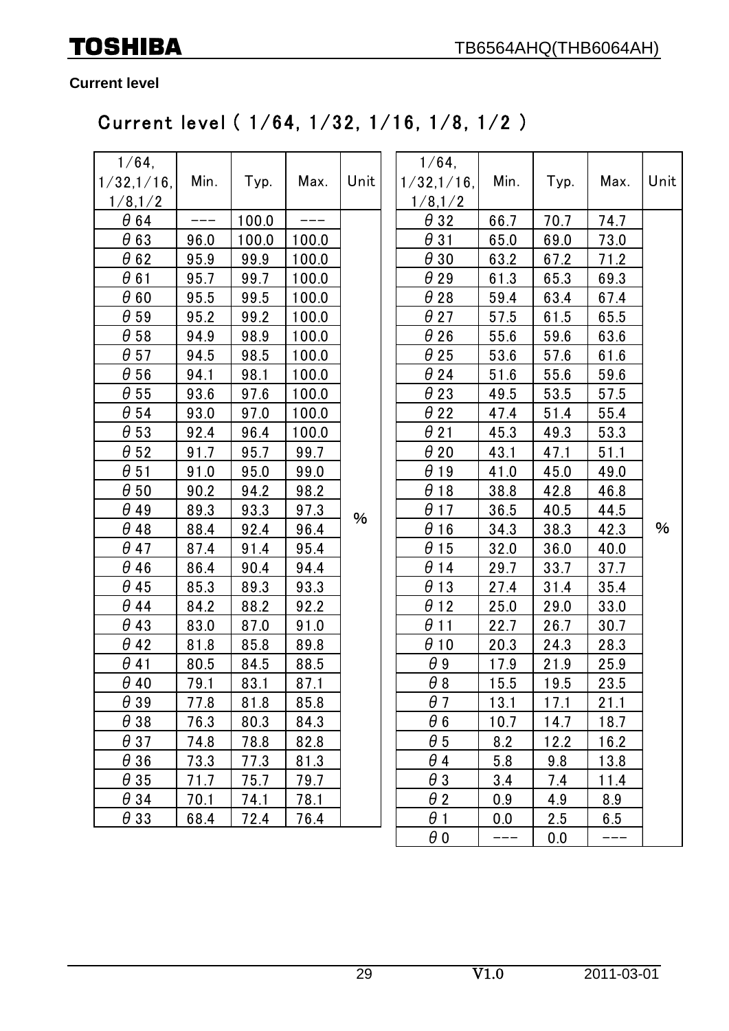**Current level**

# Current level ( 1/64, 1/32, 1/16, 1/8, 1/2 )

| 1/64,<br>1/32,1/16, | Min. | Typ.  | Max.  | Unit | $1/64$ ,<br>1/32,1/16, | Min. | Typ. | Max. | Unit |
|---------------------|------|-------|-------|------|------------------------|------|------|------|------|
| 1/8,1/2             |      |       |       |      | 1/8,1/2                |      |      |      |      |
| $\theta$ 64         |      | 100.0 |       |      | $\theta$ 32            | 66.7 | 70.7 | 74.7 |      |
| $\theta$ 63         | 96.0 | 100.0 | 100.0 |      | $\theta$ 31            | 65.0 | 69.0 | 73.0 |      |
| $\theta$ 62         | 95.9 | 99.9  | 100.0 |      | $\theta$ 30            | 63.2 | 67.2 | 71.2 |      |
| $\theta$ 61         | 95.7 | 99.7  | 100.0 |      | $\theta$ 29            | 61.3 | 65.3 | 69.3 |      |
| $\theta$ 60         | 95.5 | 99.5  | 100.0 |      | $\theta$ 28            | 59.4 | 63.4 | 67.4 |      |
| $\theta$ 59         | 95.2 | 99.2  | 100.0 |      | $\theta$ 27            | 57.5 | 61.5 | 65.5 |      |
| $\theta$ 58         | 94.9 | 98.9  | 100.0 |      | $\theta$ 26            | 55.6 | 59.6 | 63.6 |      |
| $\theta$ 57         | 94.5 | 98.5  | 100.0 |      | $\theta$ 25            | 53.6 | 57.6 | 61.6 |      |
| $\theta$ 56         | 94.1 | 98.1  | 100.0 |      | $\theta$ 24            | 51.6 | 55.6 | 59.6 |      |
| $\theta$ 55         | 93.6 | 97.6  | 100.0 |      | $\theta$ 23            | 49.5 | 53.5 | 57.5 |      |
| $\theta$ 54         | 93.0 | 97.0  | 100.0 |      | $\theta$ 22            | 47.4 | 51.4 | 55.4 |      |
| $\theta$ 53         | 92.4 | 96.4  | 100.0 |      | $\theta$ 21            | 45.3 | 49.3 | 53.3 |      |
| $\theta$ 52         | 91.7 | 95.7  | 99.7  |      | $\theta$ 20            | 43.1 | 47.1 | 51.1 |      |
| $\theta$ 51         | 91.0 | 95.0  | 99.0  |      | $\theta$ 19            | 41.0 | 45.0 | 49.0 |      |
| $\theta$ 50         | 90.2 | 94.2  | 98.2  |      | $\theta$ 18            | 38.8 | 42.8 | 46.8 |      |
| $\theta$ 49         | 89.3 | 93.3  | 97.3  | %    | $\theta$ 17            | 36.5 | 40.5 | 44.5 |      |
| $\theta$ 48         | 88.4 | 92.4  | 96.4  |      | $\theta$ 16            | 34.3 | 38.3 | 42.3 | %    |
| $\theta$ 47         | 87.4 | 91.4  | 95.4  |      | $\theta$ 15            | 32.0 | 36.0 | 40.0 |      |
| $\theta$ 46         | 86.4 | 90.4  | 94.4  |      | $\theta$ 14            | 29.7 | 33.7 | 37.7 |      |
| $\theta$ 45         | 85.3 | 89.3  | 93.3  |      | $\theta$ 13            | 27.4 | 31.4 | 35.4 |      |
| $\theta$ 44         | 84.2 | 88.2  | 92.2  |      | $\theta$ 12            | 25.0 | 29.0 | 33.0 |      |
| $\theta$ 43         | 83.0 | 87.0  | 91.0  |      | $\theta$ 11            | 22.7 | 26.7 | 30.7 |      |
| $\theta$ 42         | 81.8 | 85.8  | 89.8  |      | $\theta$ 10            | 20.3 | 24.3 | 28.3 |      |
| $\theta$ 41         | 80.5 | 84.5  | 88.5  |      | $\theta$ 9             | 17.9 | 21.9 | 25.9 |      |
| $\theta$ 40         | 79.1 | 83.1  | 87.1  |      | $\theta$ 8             | 15.5 | 19.5 | 23.5 |      |
| $\theta$ 39         | 77.8 | 81.8  | 85.8  |      | $\theta$ 7             | 13.1 | 17.1 | 21.1 |      |
| $\theta$ 38         | 76.3 | 80.3  | 84.3  |      | $\theta$ 6             | 10.7 | 14.7 | 18.7 |      |
| $\theta$ 37         | 74.8 | 78.8  | 82.8  |      | $\theta$ 5             | 8.2  | 12.2 | 16.2 |      |
| $\theta$ 36         | 73.3 | 77.3  | 81.3  |      | $\theta$ 4             | 5.8  | 9.8  | 13.8 |      |
| $\theta$ 35         | 71.7 | 75.7  | 79.7  |      | $\theta$ 3             | 3.4  | 7.4  | 11.4 |      |
| $\theta$ 34         | 70.1 | 74.1  | 78.1  |      | $\theta$ 2             | 0.9  | 4.9  | 8.9  |      |
| $\theta$ 33         | 68.4 | 72.4  | 76.4  |      | $\theta$ 1             | 0.0  | 2.5  | 6.5  |      |
|                     |      |       |       |      | $\theta$ 0             | ———  | 0.0  | ---  |      |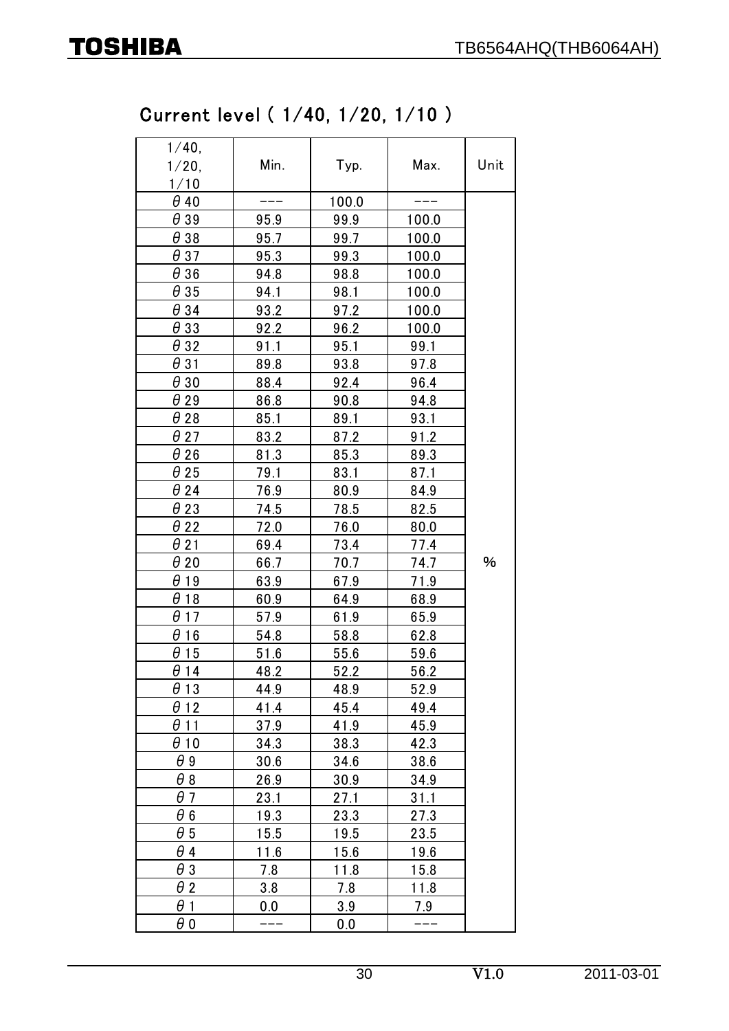# Current level ( 1/40, 1/20, 1/10 )

| 1/40,<br>$1/20$ ,<br>1/10 | Min. | Max.<br>Typ. |             | Unit |
|---------------------------|------|--------------|-------------|------|
| $\theta$ 40               |      | 100.0        |             |      |
| $\theta$ 39               | 95.9 | 99.9         | 100.0       |      |
| $\theta$ 38               | 95.7 | 99.7         | 100.0       |      |
| $\theta$ 37               | 95.3 | 99.3         | 100.0       |      |
| $\theta$ 36               | 94.8 | 98.8         | 100.0       |      |
| $\theta$ 35               | 94.1 | 98.1         | 100.0       |      |
| $\theta$ 34               | 93.2 | 97.2         | 100.0       |      |
| $\theta$ 33               | 92.2 | 96.2         | 100.0       |      |
| $\theta$ 32               | 91.1 | 95.1         | 99.1        |      |
| $\theta$ 31               | 89.8 | 93.8         | 97.8        |      |
| $\theta$ 30               | 88.4 | 92.4         | 96.4        |      |
| $\theta$ 29               | 86.8 | 90.8         | 94.8        |      |
| $\theta$ 28               | 85.1 | 89.1         | 93.1        |      |
| $\theta$ 27               | 83.2 | 87.2         | 91.2        |      |
| $\theta$ 26               | 81.3 | 85.3         | 89.3        |      |
| $\theta$ 25               | 79.1 | 83.1         | 87.1        |      |
| $\theta$ 24               | 76.9 | 80.9         | 84.9        |      |
| $\theta$ 23               | 74.5 | 78.5         | 82.5        |      |
| $\theta$ 22               | 72.0 | 76.0         | 80.0        |      |
| $\theta$ 21               | 69.4 | 73.4         | 77.4        |      |
| $\theta$ 20               | 66.7 | 70.7         | 74.7        | %    |
| $\theta$ 19               | 63.9 | 67.9         | 71.9        |      |
| $\theta$ 18               | 60.9 | 64.9         | 68.9        |      |
| $\theta$ 17               | 57.9 | 61.9         | 65.9        |      |
| $\theta$ 16               | 54.8 | 58.8         | 62.8        |      |
| $\theta$ 15               | 51.6 | 55.6         | 59.6        |      |
| $\theta$ 14               | 48.2 | 52.2         | 56.2        |      |
| $\theta$ 13               | 44.9 | 48.9         | 52.9        |      |
| $\theta$ 12               | 41.4 | 45.4         | 49.4        |      |
| $\theta$ 11               | 37.9 | 41.9         | 45.9        |      |
| $\theta$ 10               | 34.3 | 38.3         | 42.3        |      |
| θ9                        | 30.6 | 34.6         | 38.6        |      |
| $\theta$ 8                | 26.9 | 30.9         | 34.9        |      |
| $\theta$ 7                | 23.1 | 27.1         | 31.1        |      |
| θ6                        | 19.3 | 23.3         | 27.3        |      |
| $\theta$ 5                | 15.5 | 19.5         | <u>23.5</u> |      |
| $\theta$ 4                | 11.6 | 15.6         | 19.6        |      |
| $\theta$ 3                | 7.8  | 11.8         | 15.8        |      |
| $\theta$ 2                | 3.8  | 7.8          | 11.8        |      |
| $\theta$ 1                | 0.0  | 3.9          | 7.9         |      |
| $\theta$ O                |      | 0.0          |             |      |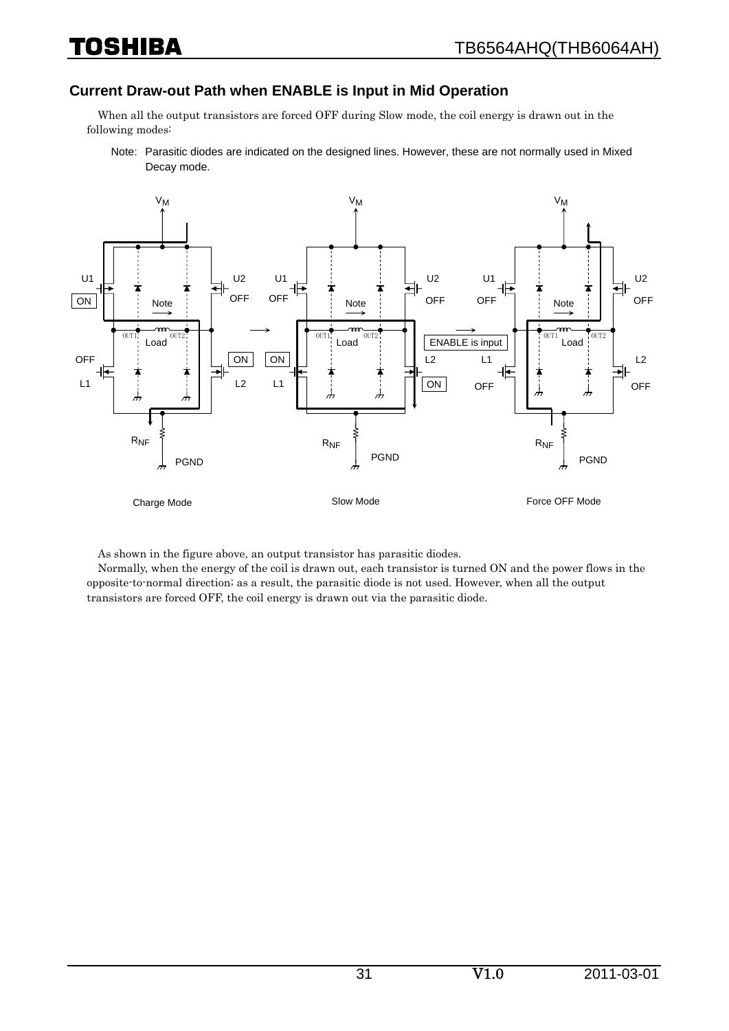#### **Current Draw-out Path when ENABLE is Input in Mid Operation**

When all the output transistors are forced OFF during Slow mode, the coil energy is drawn out in the following modes:

Note: Parasitic diodes are indicated on the designed lines. However, these are not normally used in Mixed Decay mode.



As shown in the figure above, an output transistor has parasitic diodes.

Normally, when the energy of the coil is drawn out, each transistor is turned ON and the power flows in the opposite-to-normal direction; as a result, the parasitic diode is not used. However, when all the output transistors are forced OFF, the coil energy is drawn out via the parasitic diode.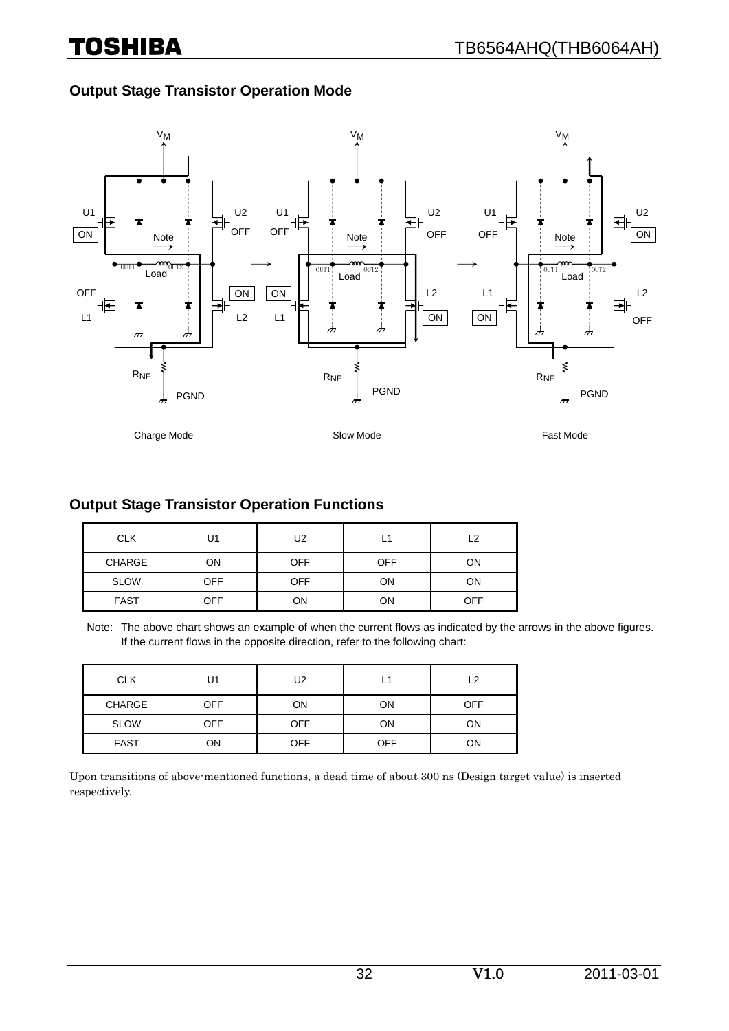### **Output Stage Transistor Operation Mode**



### **Output Stage Transistor Operation Functions**

| <b>CLK</b>  | U1         | U2         | L1         | ر ۱        |
|-------------|------------|------------|------------|------------|
| CHARGE      | ON         | <b>OFF</b> | <b>OFF</b> | ON         |
| <b>SLOW</b> | <b>OFF</b> | <b>OFF</b> | ON         | ON         |
| <b>FAST</b> | <b>OFF</b> | OΝ         | ON         | <b>OFF</b> |

Note: The above chart shows an example of when the current flows as indicated by the arrows in the above figures. If the current flows in the opposite direction, refer to the following chart:

| <b>CLK</b>    | U1         | U2         | L1         | L2  |
|---------------|------------|------------|------------|-----|
| <b>CHARGE</b> | <b>OFF</b> | ON         | ON         | OFF |
| <b>SLOW</b>   | <b>OFF</b> | <b>OFF</b> | ON         | ON  |
| <b>FAST</b>   | ΟN         | <b>OFF</b> | <b>OFF</b> | ON  |

Upon transitions of above-mentioned functions, a dead time of about 300 ns (Design target value) is inserted respectively.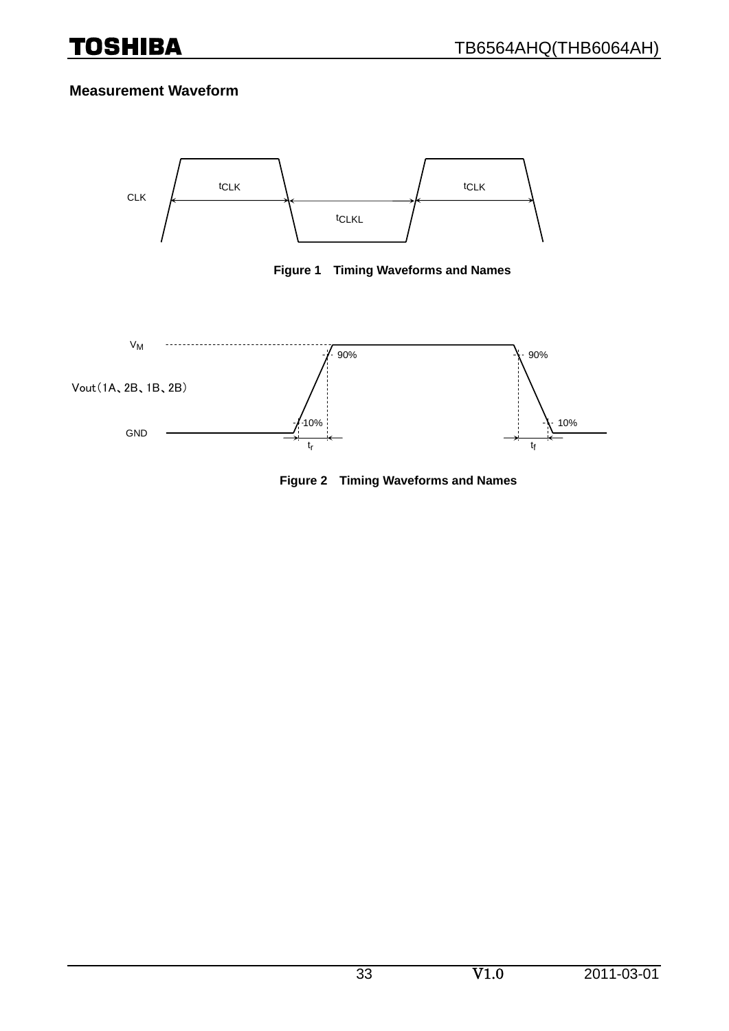#### **Measurement Waveform**



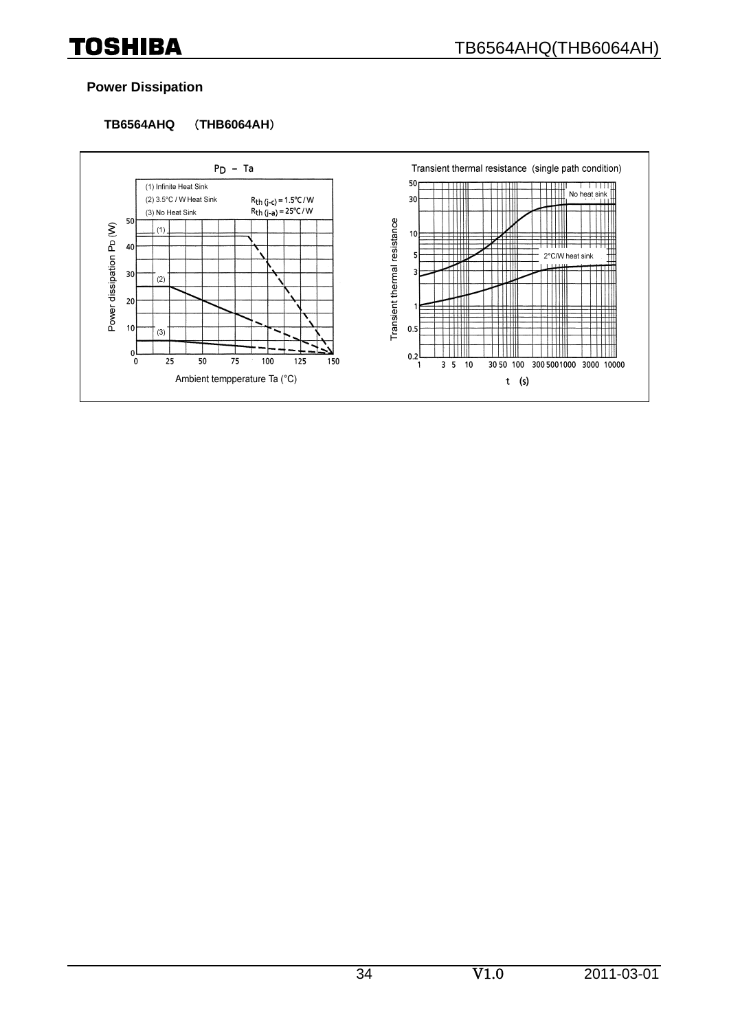#### **Power Dissipation**

#### **TB6564AHQ** (**THB6064AH**)

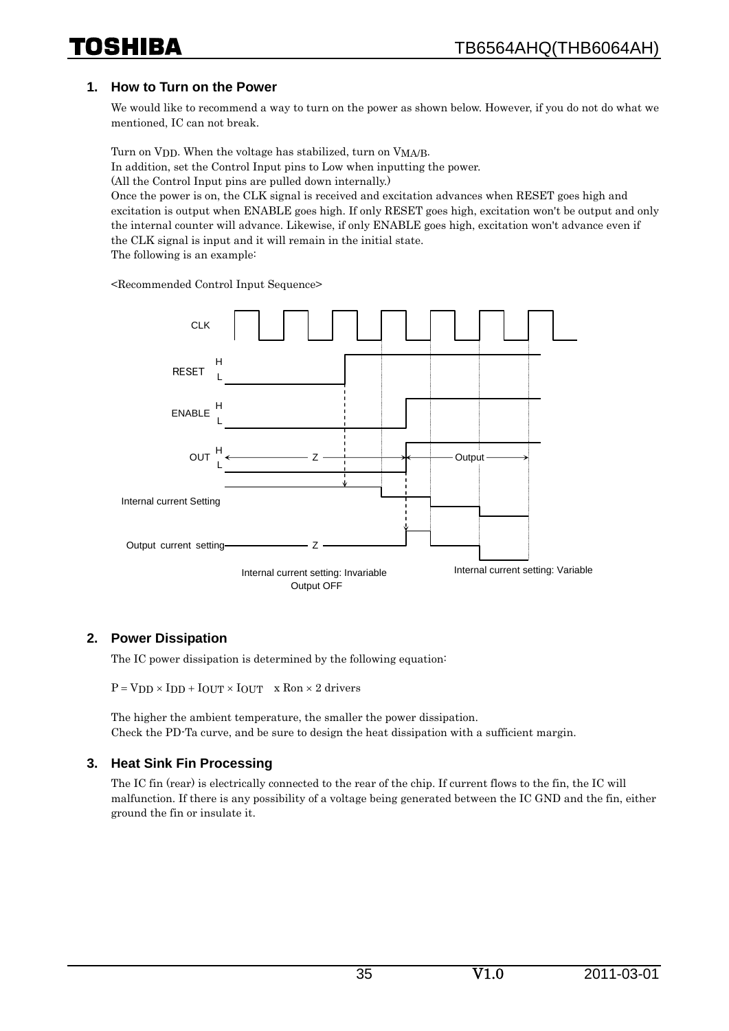#### **1. How to Turn on the Power**

We would like to recommend a way to turn on the power as shown below. However, if you do not do what we mentioned, IC can not break.

Turn on VDD. When the voltage has stabilized, turn on VMA/B.

In addition, set the Control Input pins to Low when inputting the power.

(All the Control Input pins are pulled down internally.)

Once the power is on, the CLK signal is received and excitation advances when RESET goes high and excitation is output when ENABLE goes high. If only RESET goes high, excitation won't be output and only the internal counter will advance. Likewise, if only ENABLE goes high, excitation won't advance even if the CLK signal is input and it will remain in the initial state.

The following is an example:

<Recommended Control Input Sequence>



#### **2. Power Dissipation**

The IC power dissipation is determined by the following equation:

 $P = VDD \times IDD + IOUT \times IOUT \times Ron \times 2$  drivers

The higher the ambient temperature, the smaller the power dissipation. Check the PD-Ta curve, and be sure to design the heat dissipation with a sufficient margin.

#### **3. Heat Sink Fin Processing**

The IC fin (rear) is electrically connected to the rear of the chip. If current flows to the fin, the IC will malfunction. If there is any possibility of a voltage being generated between the IC GND and the fin, either ground the fin or insulate it.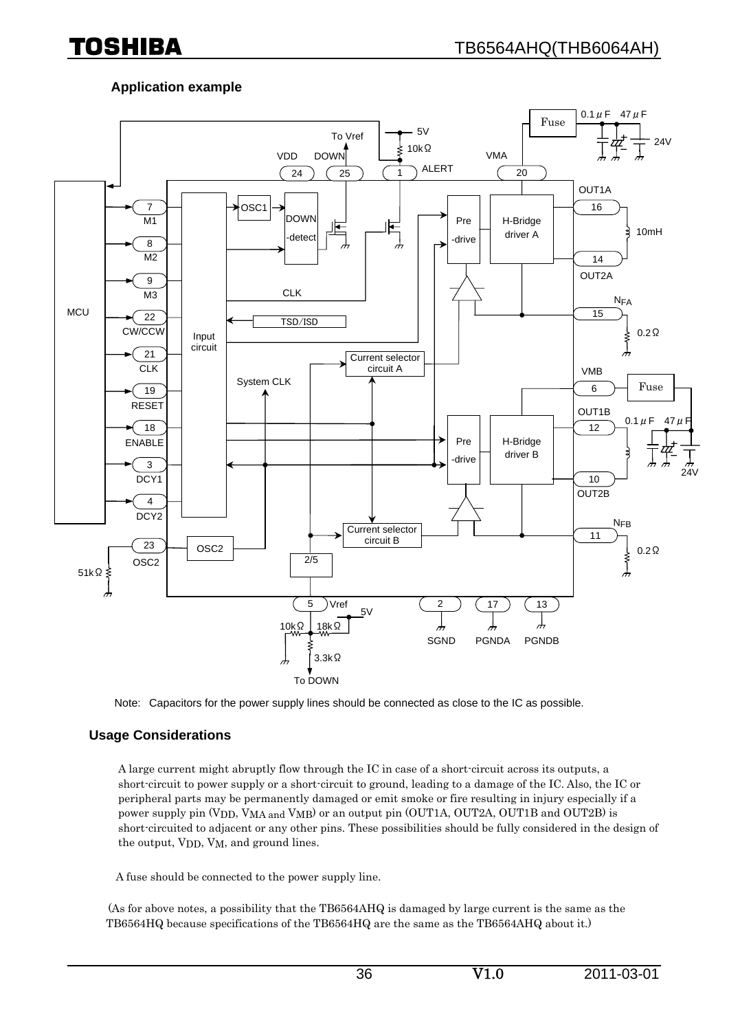### **Application example**



Note: Capacitors for the power supply lines should be connected as close to the IC as possible.

#### **Usage Considerations**

A large current might abruptly flow through the IC in case of a short-circuit across its outputs, a short-circuit to power supply or a short-circuit to ground, leading to a damage of the IC. Also, the IC or peripheral parts may be permanently damaged or emit smoke or fire resulting in injury especially if a power supply pin (VDD, VMA and VMB) or an output pin (OUT1A, OUT2A, OUT1B and OUT2B) is short-circuited to adjacent or any other pins. These possibilities should be fully considered in the design of the output, V<sub>DD</sub>, V<sub>M</sub>, and ground lines.

A fuse should be connected to the power supply line.

 (As for above notes, a possibility that the TB6564AHQ is damaged by large current is the same as the TB6564HQ because specifications of the TB6564HQ are the same as the TB6564AHQ about it.)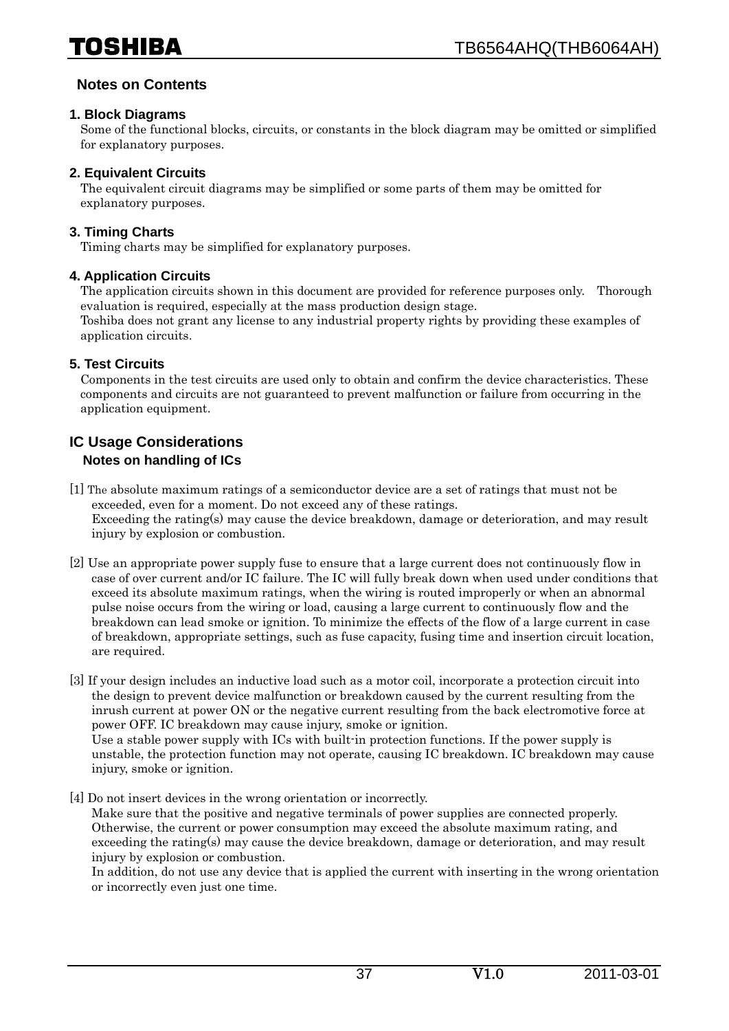#### **Notes on Contents**

#### **1. Block Diagrams**

Some of the functional blocks, circuits, or constants in the block diagram may be omitted or simplified for explanatory purposes.

#### **2. Equivalent Circuits**

The equivalent circuit diagrams may be simplified or some parts of them may be omitted for explanatory purposes.

#### **3. Timing Charts**

Timing charts may be simplified for explanatory purposes.

#### **4. Application Circuits**

The application circuits shown in this document are provided for reference purposes only. Thorough evaluation is required, especially at the mass production design stage. Toshiba does not grant any license to any industrial property rights by providing these examples of application circuits.

#### **5. Test Circuits**

Components in the test circuits are used only to obtain and confirm the device characteristics. These components and circuits are not guaranteed to prevent malfunction or failure from occurring in the application equipment.

#### **IC Usage Considerations Notes on handling of ICs**

- [1] The absolute maximum ratings of a semiconductor device are a set of ratings that must not be exceeded, even for a moment. Do not exceed any of these ratings. Exceeding the rating(s) may cause the device breakdown, damage or deterioration, and may result injury by explosion or combustion.
- [2] Use an appropriate power supply fuse to ensure that a large current does not continuously flow in case of over current and/or IC failure. The IC will fully break down when used under conditions that exceed its absolute maximum ratings, when the wiring is routed improperly or when an abnormal pulse noise occurs from the wiring or load, causing a large current to continuously flow and the breakdown can lead smoke or ignition. To minimize the effects of the flow of a large current in case of breakdown, appropriate settings, such as fuse capacity, fusing time and insertion circuit location, are required.
- [3] If your design includes an inductive load such as a motor coil, incorporate a protection circuit into the design to prevent device malfunction or breakdown caused by the current resulting from the inrush current at power ON or the negative current resulting from the back electromotive force at power OFF. IC breakdown may cause injury, smoke or ignition. Use a stable power supply with ICs with built-in protection functions. If the power supply is
	- unstable, the protection function may not operate, causing IC breakdown. IC breakdown may cause injury, smoke or ignition.
- [4] Do not insert devices in the wrong orientation or incorrectly. Make sure that the positive and negative terminals of power supplies are connected properly. Otherwise, the current or power consumption may exceed the absolute maximum rating, and exceeding the rating(s) may cause the device breakdown, damage or deterioration, and may result injury by explosion or combustion.

In addition, do not use any device that is applied the current with inserting in the wrong orientation or incorrectly even just one time.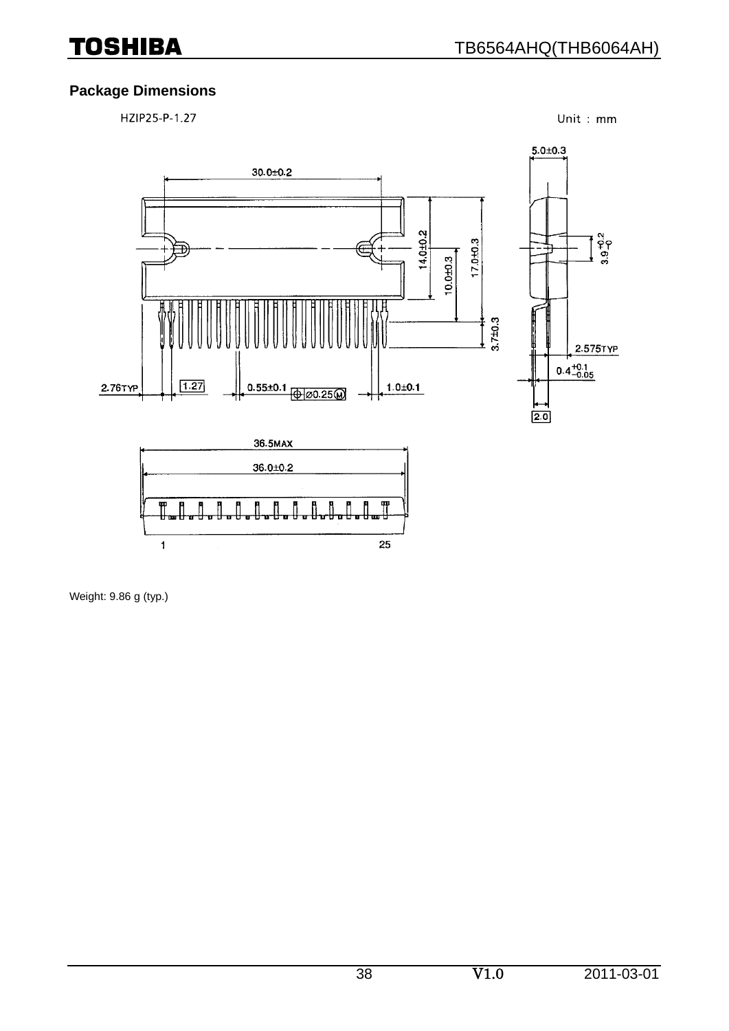### **Package Dimensions**

HZIP25-P-1.27

Unit: mm



Weight: 9.86 g (typ.)